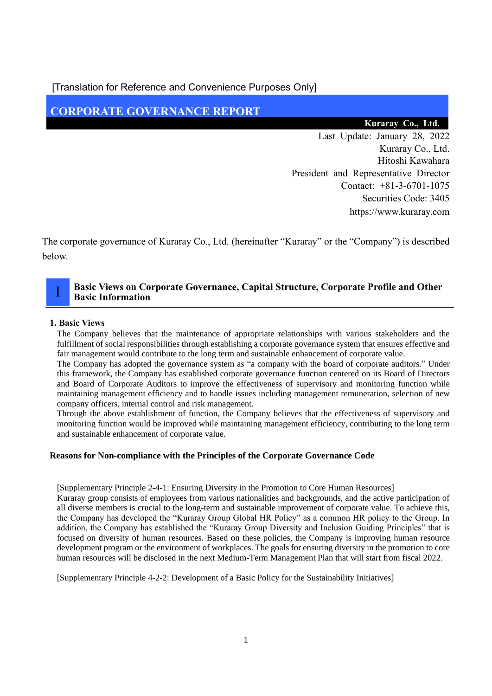[Translation for Reference and Convenience Purposes Only]

# **CORPORATE GOVERNANCE REPORT**

# **Kuraray Co., Ltd.**

Last Update: January 28, 2022 Kuraray Co., Ltd. Hitoshi Kawahara President and Representative Director Contact: +81-3-6701-1075 Securities Code: 3405 https://www.kuraray.com

The corporate governance of Kuraray Co., Ltd. (hereinafter "Kuraray" or the "Company") is described below.

# **Basic Views on Corporate Governance, Capital Structure, Corporate Profile and Other Basic Information**

# **1. Basic Views**

I

The Company believes that the maintenance of appropriate relationships with various stakeholders and the fulfillment of social responsibilities through establishing a corporate governance system that ensures effective and fair management would contribute to the long term and sustainable enhancement of corporate value.

The Company has adopted the governance system as "a company with the board of corporate auditors." Under this framework, the Company has established corporate governance function centered on its Board of Directors and Board of Corporate Auditors to improve the effectiveness of supervisory and monitoring function while maintaining management efficiency and to handle issues including management remuneration, selection of new company officers, internal control and risk management.

Through the above establishment of function, the Company believes that the effectiveness of supervisory and monitoring function would be improved while maintaining management efficiency, contributing to the long term and sustainable enhancement of corporate value.

# **Reasons for Non-compliance with the Principles of the Corporate Governance Code**

[Supplementary Principle 2-4-1: Ensuring Diversity in the Promotion to Core Human Resources]

Kuraray group consists of employees from various nationalities and backgrounds, and the active participation of all diverse members is crucial to the long-term and sustainable improvement of corporate value. To achieve this, the Company has developed the "Kuraray Group Global HR Policy" as a common HR policy to the Group. In addition, the Company has established the "Kuraray Group Diversity and Inclusion Guiding Principles" that is focused on diversity of human resources. Based on these policies, the Company is improving human resource development program or the environment of workplaces. The goals for ensuring diversity in the promotion to core human resources will be disclosed in the next Medium-Term Management Plan that will start from fiscal 2022.

[Supplementary Principle 4-2-2: Development of a Basic Policy for the Sustainability Initiatives]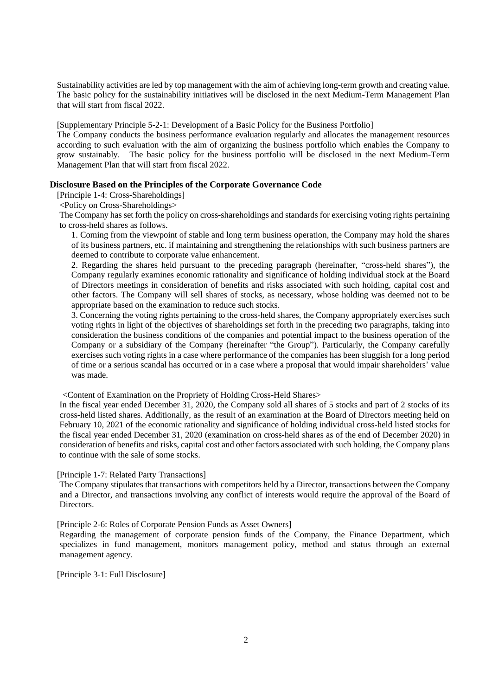Sustainability activities are led by top management with the aim of achieving long-term growth and creating value. The basic policy for the sustainability initiatives will be disclosed in the next Medium-Term Management Plan that will start from fiscal 2022.

[Supplementary Principle 5-2-1: Development of a Basic Policy for the Business Portfolio]

The Company conducts the business performance evaluation regularly and allocates the management resources according to such evaluation with the aim of organizing the business portfolio which enables the Company to grow sustainably. The basic policy for the business portfolio will be disclosed in the next Medium-Term Management Plan that will start from fiscal 2022.

## **Disclosure Based on the Principles of the Corporate Governance Code**

[Principle 1-4: Cross-Shareholdings]

<Policy on Cross-Shareholdings>

The Company has set forth the policy on cross-shareholdings and standards for exercising voting rights pertaining to cross-held shares as follows.

1. Coming from the viewpoint of stable and long term business operation, the Company may hold the shares of its business partners, etc. if maintaining and strengthening the relationships with such business partners are deemed to contribute to corporate value enhancement.

2. Regarding the shares held pursuant to the preceding paragraph (hereinafter, "cross-held shares"), the Company regularly examines economic rationality and significance of holding individual stock at the Board of Directors meetings in consideration of benefits and risks associated with such holding, capital cost and other factors. The Company will sell shares of stocks, as necessary, whose holding was deemed not to be appropriate based on the examination to reduce such stocks.

3. Concerning the voting rights pertaining to the cross-held shares, the Company appropriately exercises such voting rights in light of the objectives of shareholdings set forth in the preceding two paragraphs, taking into consideration the business conditions of the companies and potential impact to the business operation of the Company or a subsidiary of the Company (hereinafter "the Group"). Particularly, the Company carefully exercises such voting rights in a case where performance of the companies has been sluggish for a long period of time or a serious scandal has occurred or in a case where a proposal that would impair shareholders' value was made.

<Content of Examination on the Propriety of Holding Cross-Held Shares>

In the fiscal year ended December 31, 2020, the Company sold all shares of 5 stocks and part of 2 stocks of its cross-held listed shares. Additionally, as the result of an examination at the Board of Directors meeting held on February 10, 2021 of the economic rationality and significance of holding individual cross-held listed stocks for the fiscal year ended December 31, 2020 (examination on cross-held shares as of the end of December 2020) in consideration of benefits and risks, capital cost and other factors associated with such holding, the Company plans to continue with the sale of some stocks.

[Principle 1-7: Related Party Transactions]

The Company stipulates that transactions with competitors held by a Director, transactions between the Company and a Director, and transactions involving any conflict of interests would require the approval of the Board of Directors.

[Principle 2-6: Roles of Corporate Pension Funds as Asset Owners]

Regarding the management of corporate pension funds of the Company, the Finance Department, which specializes in fund management, monitors management policy, method and status through an external management agency.

[Principle 3-1: Full Disclosure]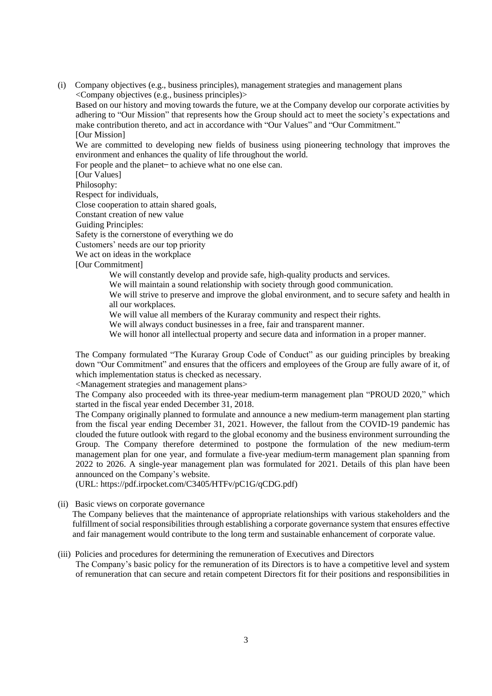(i) Company objectives (e.g., business principles), management strategies and management plans <Company objectives (e.g., business principles)>

Based on our history and moving towards the future, we at the Company develop our corporate activities by adhering to "Our Mission" that represents how the Group should act to meet the society's expectations and make contribution thereto, and act in accordance with "Our Values" and "Our Commitment." [Our Mission]

We are committed to developing new fields of business using pioneering technology that improves the environment and enhances the quality of life throughout the world.

For people and the planet- to achieve what no one else can.

[Our Values]

Philosophy:

Respect for individuals,

Close cooperation to attain shared goals,

Constant creation of new value

Guiding Principles:

Safety is the cornerstone of everything we do

Customers' needs are our top priority

We act on ideas in the workplace

[Our Commitment]

We will constantly develop and provide safe, high-quality products and services.

We will maintain a sound relationship with society through good communication.

We will strive to preserve and improve the global environment, and to secure safety and health in all our workplaces.

We will value all members of the Kuraray community and respect their rights.

We will always conduct businesses in a free, fair and transparent manner.

We will honor all intellectual property and secure data and information in a proper manner.

The Company formulated "The Kuraray Group Code of Conduct" as our guiding principles by breaking down "Our Commitment" and ensures that the officers and employees of the Group are fully aware of it, of which implementation status is checked as necessary.

<Management strategies and management plans>

The Company also proceeded with its three-year medium-term management plan "PROUD 2020," which started in the fiscal year ended December 31, 2018.

The Company originally planned to formulate and announce a new medium-term management plan starting from the fiscal year ending December 31, 2021. However, the fallout from the COVID-19 pandemic has clouded the future outlook with regard to the global economy and the business environment surrounding the Group. The Company therefore determined to postpone the formulation of the new medium-term management plan for one year, and formulate a five-year medium-term management plan spanning from 2022 to 2026. A single-year management plan was formulated for 2021. Details of this plan have been announced on the Company's website.

(URL: https://pdf.irpocket.com/C3405/HTFv/pC1G/qCDG.pdf)

(ii) Basic views on corporate governance

The Company believes that the maintenance of appropriate relationships with various stakeholders and the fulfillment of social responsibilities through establishing a corporate governance system that ensures effective and fair management would contribute to the long term and sustainable enhancement of corporate value.

(iii) Policies and procedures for determining the remuneration of Executives and Directors

The Company's basic policy for the remuneration of its Directors is to have a competitive level and system of remuneration that can secure and retain competent Directors fit for their positions and responsibilities in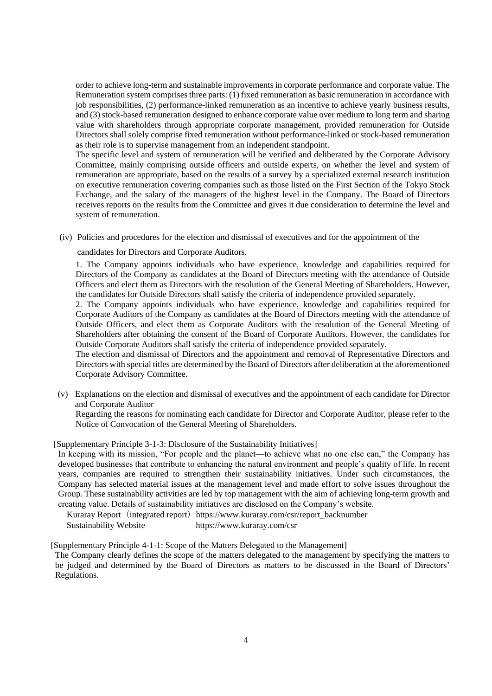order to achieve long-term and sustainable improvements in corporate performance and corporate value. The Remuneration system comprises three parts: (1) fixed remuneration as basic remuneration in accordance with job responsibilities, (2) performance-linked remuneration as an incentive to achieve yearly business results, and (3) stock-based remuneration designed to enhance corporate value over medium to long term and sharing value with shareholders through appropriate corporate management, provided remuneration for Outside Directors shall solely comprise fixed remuneration without performance-linked or stock-based remuneration as their role is to supervise management from an independent standpoint.

The specific level and system of remuneration will be verified and deliberated by the Corporate Advisory Committee, mainly comprising outside officers and outside experts, on whether the level and system of remuneration are appropriate, based on the results of a survey by a specialized external research institution on executive remuneration covering companies such as those listed on the First Section of the Tokyo Stock Exchange, and the salary of the managers of the highest level in the Company. The Board of Directors receives reports on the results from the Committee and gives it due consideration to determine the level and system of remuneration.

(iv) Policies and procedures for the election and dismissal of executives and for the appointment of the

candidates for Directors and Corporate Auditors.

1. The Company appoints individuals who have experience, knowledge and capabilities required for Directors of the Company as candidates at the Board of Directors meeting with the attendance of Outside Officers and elect them as Directors with the resolution of the General Meeting of Shareholders. However, the candidates for Outside Directors shall satisfy the criteria of independence provided separately.

2. The Company appoints individuals who have experience, knowledge and capabilities required for Corporate Auditors of the Company as candidates at the Board of Directors meeting with the attendance of Outside Officers, and elect them as Corporate Auditors with the resolution of the General Meeting of Shareholders after obtaining the consent of the Board of Corporate Auditors. However, the candidates for Outside Corporate Auditors shall satisfy the criteria of independence provided separately.

The election and dismissal of Directors and the appointment and removal of Representative Directors and Directors with special titles are determined by the Board of Directors after deliberation at the aforementioned Corporate Advisory Committee.

(v) Explanations on the election and dismissal of executives and the appointment of each candidate for Director and Corporate Auditor

Regarding the reasons for nominating each candidate for Director and Corporate Auditor, please refer to the Notice of Convocation of the General Meeting of Shareholders.

#### [Supplementary Principle 3-1-3: Disclosure of the Sustainability Initiatives]

In keeping with its mission, "For people and the planet—to achieve what no one else can," the Company has developed businesses that contribute to enhancing the natural environment and people's quality of life. In recent years, companies are required to strengthen their sustainability initiatives. Under such circumstances, the Company has selected material issues at the management level and made effort to solve issues throughout the Group. These sustainability activities are led by top management with the aim of achieving long-term growth and creating value. Details of sustainability initiatives are disclosed on the Company's website.

Kuraray Report (integrated report) https://www.kuraray.com/csr/report\_backnumber

Sustainability Website https://www.kuraray.com/csr

[Supplementary Principle 4-1-1: Scope of the Matters Delegated to the Management]

The Company clearly defines the scope of the matters delegated to the management by specifying the matters to be judged and determined by the Board of Directors as matters to be discussed in the Board of Directors' Regulations.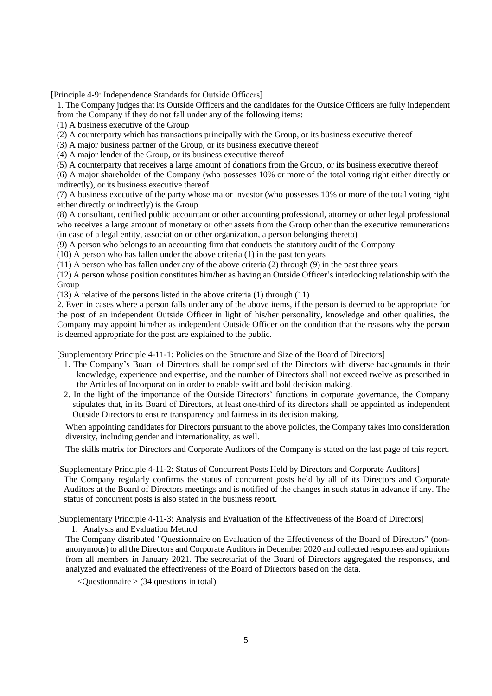[Principle 4-9: Independence Standards for Outside Officers]

1. The Company judges that its Outside Officers and the candidates for the Outside Officers are fully independent from the Company if they do not fall under any of the following items:

(1) A business executive of the Group

(2) A counterparty which has transactions principally with the Group, or its business executive thereof

(3) A major business partner of the Group, or its business executive thereof

(4) A major lender of the Group, or its business executive thereof

(5) A counterparty that receives a large amount of donations from the Group, or its business executive thereof

(6) A major shareholder of the Company (who possesses 10% or more of the total voting right either directly or indirectly), or its business executive thereof

(7) A business executive of the party whose major investor (who possesses 10% or more of the total voting right either directly or indirectly) is the Group

(8) A consultant, certified public accountant or other accounting professional, attorney or other legal professional who receives a large amount of monetary or other assets from the Group other than the executive remunerations (in case of a legal entity, association or other organization, a person belonging thereto)

(9) A person who belongs to an accounting firm that conducts the statutory audit of the Company

(10) A person who has fallen under the above criteria (1) in the past ten years

(11) A person who has fallen under any of the above criteria (2) through (9) in the past three years

(12) A person whose position constitutes him/her as having an Outside Officer's interlocking relationship with the Group

(13) A relative of the persons listed in the above criteria (1) through (11)

2. Even in cases where a person falls under any of the above items, if the person is deemed to be appropriate for the post of an independent Outside Officer in light of his/her personality, knowledge and other qualities, the Company may appoint him/her as independent Outside Officer on the condition that the reasons why the person is deemed appropriate for the post are explained to the public.

[Supplementary Principle 4-11-1: Policies on the Structure and Size of the Board of Directors]

- 1. The Company's Board of Directors shall be comprised of the Directors with diverse backgrounds in their knowledge, experience and expertise, and the number of Directors shall not exceed twelve as prescribed in the Articles of Incorporation in order to enable swift and bold decision making.
- 2. In the light of the importance of the Outside Directors' functions in corporate governance, the Company stipulates that, in its Board of Directors, at least one-third of its directors shall be appointed as independent Outside Directors to ensure transparency and fairness in its decision making.

When appointing candidates for Directors pursuant to the above policies, the Company takes into consideration diversity, including gender and internationality, as well.

The skills matrix for Directors and Corporate Auditors of the Company is stated on the last page of this report.

[Supplementary Principle 4-11-2: Status of Concurrent Posts Held by Directors and Corporate Auditors]

The Company regularly confirms the status of concurrent posts held by all of its Directors and Corporate Auditors at the Board of Directors meetings and is notified of the changes in such status in advance if any. The status of concurrent posts is also stated in the business report.

[Supplementary Principle 4-11-3: Analysis and Evaluation of the Effectiveness of the Board of Directors]

1. Analysis and Evaluation Method

The Company distributed "Questionnaire on Evaluation of the Effectiveness of the Board of Directors" (nonanonymous) to all the Directors and Corporate Auditors in December 2020 and collected responses and opinions from all members in January 2021. The secretariat of the Board of Directors aggregated the responses, and analyzed and evaluated the effectiveness of the Board of Directors based on the data.

 $\leq$ Questionnaire  $>$  (34 questions in total)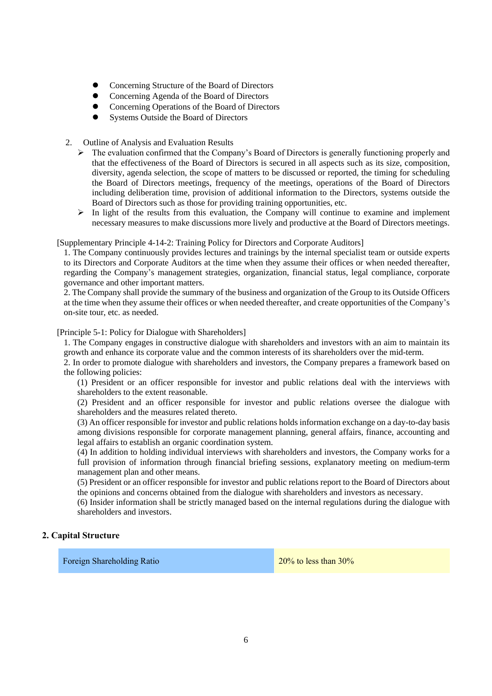- ⚫ Concerning Structure of the Board of Directors
- ⚫ Concerning Agenda of the Board of Directors
- ⚫ Concerning Operations of the Board of Directors
- ⚫ Systems Outside the Board of Directors
- 2. Outline of Analysis and Evaluation Results
	- ➢ The evaluation confirmed that the Company's Board of Directors is generally functioning properly and that the effectiveness of the Board of Directors is secured in all aspects such as its size, composition, diversity, agenda selection, the scope of matters to be discussed or reported, the timing for scheduling the Board of Directors meetings, frequency of the meetings, operations of the Board of Directors including deliberation time, provision of additional information to the Directors, systems outside the Board of Directors such as those for providing training opportunities, etc.
	- ➢ In light of the results from this evaluation, the Company will continue to examine and implement necessary measures to make discussions more lively and productive at the Board of Directors meetings.

[Supplementary Principle 4-14-2: Training Policy for Directors and Corporate Auditors]

1. The Company continuously provides lectures and trainings by the internal specialist team or outside experts to its Directors and Corporate Auditors at the time when they assume their offices or when needed thereafter, regarding the Company's management strategies, organization, financial status, legal compliance, corporate governance and other important matters.

2. The Company shall provide the summary of the business and organization of the Group to its Outside Officers at the time when they assume their offices or when needed thereafter, and create opportunities of the Company's on-site tour, etc. as needed.

[Principle 5-1: Policy for Dialogue with Shareholders]

1. The Company engages in constructive dialogue with shareholders and investors with an aim to maintain its growth and enhance its corporate value and the common interests of its shareholders over the mid-term.

2. In order to promote dialogue with shareholders and investors, the Company prepares a framework based on the following policies:

(1) President or an officer responsible for investor and public relations deal with the interviews with shareholders to the extent reasonable.

(2) President and an officer responsible for investor and public relations oversee the dialogue with shareholders and the measures related thereto.

(3) An officer responsible for investor and public relations holds information exchange on a day-to-day basis among divisions responsible for corporate management planning, general affairs, finance, accounting and legal affairs to establish an organic coordination system.

(4) In addition to holding individual interviews with shareholders and investors, the Company works for a full provision of information through financial briefing sessions, explanatory meeting on medium-term management plan and other means.

(5) President or an officer responsible for investor and public relations report to the Board of Directors about the opinions and concerns obtained from the dialogue with shareholders and investors as necessary.

(6) Insider information shall be strictly managed based on the internal regulations during the dialogue with shareholders and investors.

# **2. Capital Structure**

Foreign Shareholding Ratio 20% to less than 30%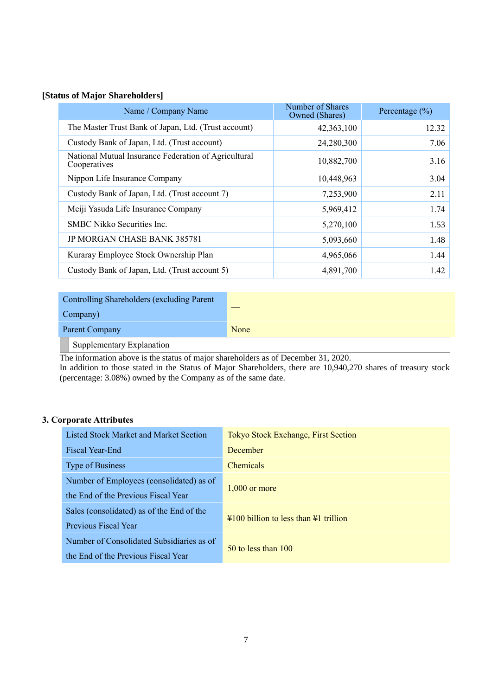# **[Status of Major Shareholders]**

| Name / Company Name                                                  | Number of Shares<br>Owned (Shares) | Percentage $(\% )$ |
|----------------------------------------------------------------------|------------------------------------|--------------------|
| The Master Trust Bank of Japan, Ltd. (Trust account)                 | 42,363,100                         | 12.32              |
| Custody Bank of Japan, Ltd. (Trust account)                          | 24,280,300                         | 7.06               |
| National Mutual Insurance Federation of Agricultural<br>Cooperatives | 10,882,700                         | 3.16               |
| Nippon Life Insurance Company                                        | 10,448,963                         | 3.04               |
| Custody Bank of Japan, Ltd. (Trust account 7)                        | 7,253,900                          | 2.11               |
| Meiji Yasuda Life Insurance Company                                  | 5,969,412                          | 1.74               |
| SMBC Nikko Securities Inc.                                           | 5,270,100                          | 1.53               |
| <b>JP MORGAN CHASE BANK 385781</b>                                   | 5,093,660                          | 1.48               |
| Kuraray Employee Stock Ownership Plan                                | 4,965,066                          | 1.44               |
| Custody Bank of Japan, Ltd. (Trust account 5)                        | 4,891,700                          | 1.42               |

| Controlling Shareholders (excluding Parent                                                                                |      |
|---------------------------------------------------------------------------------------------------------------------------|------|
| Company)                                                                                                                  |      |
| Parent Company                                                                                                            | None |
| $\sim$<br>the contract of the contract of the contract of the contract of the contract of the contract of the contract of |      |

Supplementary Explanation

The information above is the status of major shareholders as of December 31, 2020.

In addition to those stated in the Status of Major Shareholders, there are 10,940,270 shares of treasury stock (percentage: 3.08%) owned by the Company as of the same date.

# **3. Corporate Attributes**

| Listed Stock Market and Market Section    | <b>Tokyo Stock Exchange, First Section</b>                            |
|-------------------------------------------|-----------------------------------------------------------------------|
| Fiscal Year-End                           | December                                                              |
| Type of Business                          | <b>Chemicals</b>                                                      |
| Number of Employees (consolidated) as of  |                                                                       |
| the End of the Previous Fiscal Year       | $1,000$ or more                                                       |
| Sales (consolidated) as of the End of the | $\frac{12100}{1100}$ billion to less than $\frac{121}{1100}$ trillion |
| Previous Fiscal Year                      |                                                                       |
| Number of Consolidated Subsidiaries as of | $50$ to less than $100$                                               |
| the End of the Previous Fiscal Year       |                                                                       |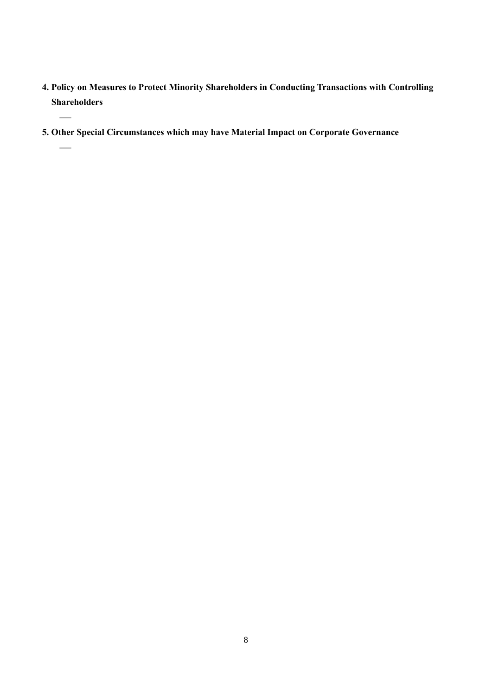- **4. Policy on Measures to Protect Minority Shareholders in Conducting Transactions with Controlling Shareholders**
- **5. Other Special Circumstances which may have Material Impact on Corporate Governance**

—

—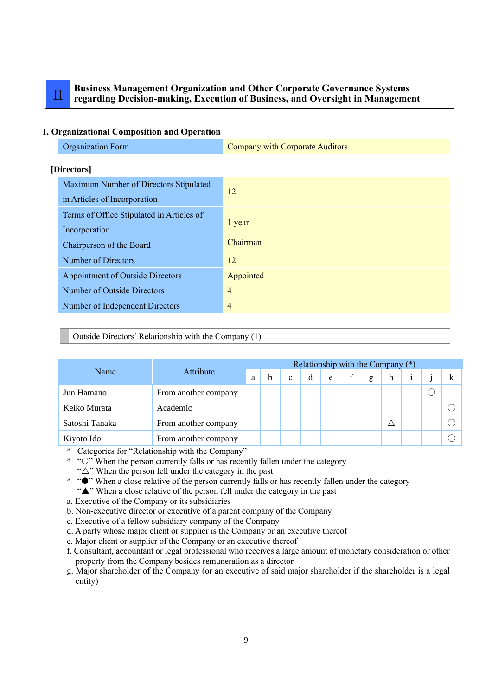# II **Business Management Organization and Other Corporate Governance Systems regarding Decision-making, Execution of Business, and Oversight in Management**

## **1. Organizational Composition and Operation**

| <b>Organization Form</b>                                               | <b>Company with Corporate Auditors</b> |
|------------------------------------------------------------------------|----------------------------------------|
| [Directors]                                                            |                                        |
| Maximum Number of Directors Stipulated<br>in Articles of Incorporation | 12                                     |
| Terms of Office Stipulated in Articles of<br>Incorporation             | 1 year                                 |
| Chairperson of the Board                                               | Chairman                               |
| Number of Directors                                                    | 12                                     |
| <b>Appointment of Outside Directors</b>                                | Appointed                              |
| <b>Number of Outside Directors</b>                                     | $\overline{4}$                         |
| Number of Independent Directors                                        | $\overline{4}$                         |
|                                                                        |                                        |

# Outside Directors' Relationship with the Company (1)

|                |                      |   | Relationship with the Company $(*)$ |              |   |   |  |   |   |  |  |  |  |  |
|----------------|----------------------|---|-------------------------------------|--------------|---|---|--|---|---|--|--|--|--|--|
| Name           | Attribute            | a | h                                   | $\mathbf{c}$ | d | e |  | g | h |  |  |  |  |  |
| Jun Hamano     | From another company |   |                                     |              |   |   |  |   |   |  |  |  |  |  |
| Keiko Murata   | Academic             |   |                                     |              |   |   |  |   |   |  |  |  |  |  |
| Satoshi Tanaka | From another company |   |                                     |              |   |   |  |   |   |  |  |  |  |  |
| Kiyoto Ido     | From another company |   |                                     |              |   |   |  |   |   |  |  |  |  |  |

\* Categories for "Relationship with the Company"

\* "O" When the person currently falls or has recently fallen under the category

" $\triangle$ " When the person fell under the category in the past

- \* " $\bullet$ " When a close relative of the person currently falls or has recently fallen under the category "A" When a close relative of the person fell under the category in the past
- a. Executive of the Company or its subsidiaries

b. Non-executive director or executive of a parent company of the Company

c. Executive of a fellow subsidiary company of the Company

d. A party whose major client or supplier is the Company or an executive thereof

e. Major client or supplier of the Company or an executive thereof

f. Consultant, accountant or legal professional who receives a large amount of monetary consideration or other property from the Company besides remuneration as a director

g. Major shareholder of the Company (or an executive of said major shareholder if the shareholder is a legal entity)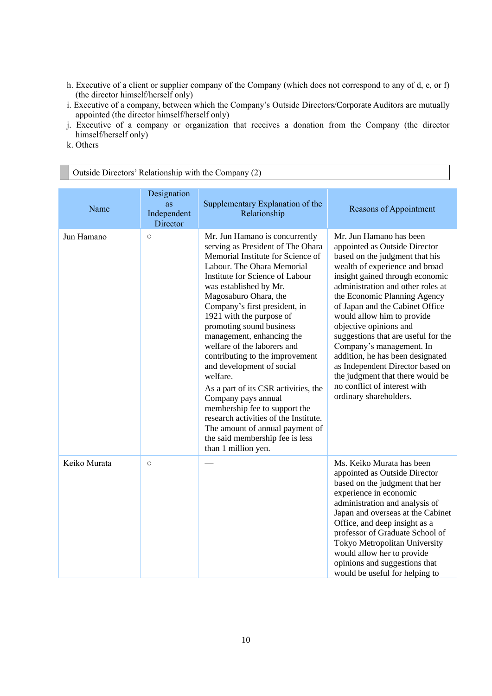- h. Executive of a client or supplier company of the Company (which does not correspond to any of d, e, or f) (the director himself/herself only)
- i. Executive of a company, between which the Company's Outside Directors/Corporate Auditors are mutually appointed (the director himself/herself only)
- j. Executive of a company or organization that receives a donation from the Company (the director himself/herself only)
- k. Others

| Outside Directors' Relationship with the Company (2) |                                                     |                                                                                                                                                                                                                                                                                                                                                                                                                                                                                                                                                                                                                                                                                                     |                                                                                                                                                                                                                                                                                                                                                                                                                                                                                                                                                                          |  |  |  |
|------------------------------------------------------|-----------------------------------------------------|-----------------------------------------------------------------------------------------------------------------------------------------------------------------------------------------------------------------------------------------------------------------------------------------------------------------------------------------------------------------------------------------------------------------------------------------------------------------------------------------------------------------------------------------------------------------------------------------------------------------------------------------------------------------------------------------------------|--------------------------------------------------------------------------------------------------------------------------------------------------------------------------------------------------------------------------------------------------------------------------------------------------------------------------------------------------------------------------------------------------------------------------------------------------------------------------------------------------------------------------------------------------------------------------|--|--|--|
| Name                                                 | Designation<br><b>as</b><br>Independent<br>Director | Supplementary Explanation of the<br>Relationship                                                                                                                                                                                                                                                                                                                                                                                                                                                                                                                                                                                                                                                    | Reasons of Appointment                                                                                                                                                                                                                                                                                                                                                                                                                                                                                                                                                   |  |  |  |
| Jun Hamano                                           | $\circ$                                             | Mr. Jun Hamano is concurrently<br>serving as President of The Ohara<br>Memorial Institute for Science of<br>Labour. The Ohara Memorial<br>Institute for Science of Labour<br>was established by Mr.<br>Magosaburo Ohara, the<br>Company's first president, in<br>1921 with the purpose of<br>promoting sound business<br>management, enhancing the<br>welfare of the laborers and<br>contributing to the improvement<br>and development of social<br>welfare.<br>As a part of its CSR activities, the<br>Company pays annual<br>membership fee to support the<br>research activities of the Institute.<br>The amount of annual payment of<br>the said membership fee is less<br>than 1 million yen. | Mr. Jun Hamano has been<br>appointed as Outside Director<br>based on the judgment that his<br>wealth of experience and broad<br>insight gained through economic<br>administration and other roles at<br>the Economic Planning Agency<br>of Japan and the Cabinet Office<br>would allow him to provide<br>objective opinions and<br>suggestions that are useful for the<br>Company's management. In<br>addition, he has been designated<br>as Independent Director based on<br>the judgment that there would be<br>no conflict of interest with<br>ordinary shareholders. |  |  |  |
| Keiko Murata                                         | $\circ$                                             |                                                                                                                                                                                                                                                                                                                                                                                                                                                                                                                                                                                                                                                                                                     | Ms. Keiko Murata has been<br>appointed as Outside Director<br>based on the judgment that her<br>experience in economic<br>administration and analysis of<br>Japan and overseas at the Cabinet<br>Office, and deep insight as a<br>professor of Graduate School of<br>Tokyo Metropolitan University<br>would allow her to provide<br>opinions and suggestions that<br>would be useful for helping to                                                                                                                                                                      |  |  |  |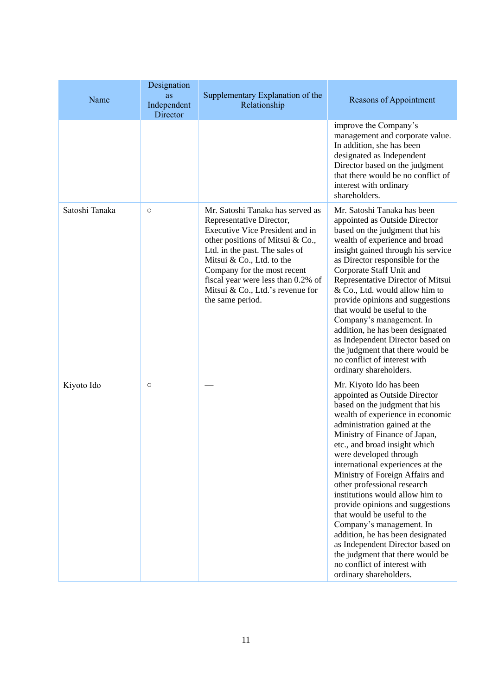| Name           | Designation<br>as<br>Independent<br>Director | Supplementary Explanation of the<br>Relationship                                                                                                                                                                                                                                                                                | Reasons of Appointment                                                                                                                                                                                                                                                                                                                                                                                                                                                                                                                                                                                                                                                   |
|----------------|----------------------------------------------|---------------------------------------------------------------------------------------------------------------------------------------------------------------------------------------------------------------------------------------------------------------------------------------------------------------------------------|--------------------------------------------------------------------------------------------------------------------------------------------------------------------------------------------------------------------------------------------------------------------------------------------------------------------------------------------------------------------------------------------------------------------------------------------------------------------------------------------------------------------------------------------------------------------------------------------------------------------------------------------------------------------------|
|                |                                              |                                                                                                                                                                                                                                                                                                                                 | improve the Company's<br>management and corporate value.<br>In addition, she has been<br>designated as Independent<br>Director based on the judgment<br>that there would be no conflict of<br>interest with ordinary<br>shareholders.                                                                                                                                                                                                                                                                                                                                                                                                                                    |
| Satoshi Tanaka | $\circ$                                      | Mr. Satoshi Tanaka has served as<br>Representative Director,<br>Executive Vice President and in<br>other positions of Mitsui & Co.,<br>Ltd. in the past. The sales of<br>Mitsui & Co., Ltd. to the<br>Company for the most recent<br>fiscal year were less than 0.2% of<br>Mitsui & Co., Ltd.'s revenue for<br>the same period. | Mr. Satoshi Tanaka has been<br>appointed as Outside Director<br>based on the judgment that his<br>wealth of experience and broad<br>insight gained through his service<br>as Director responsible for the<br>Corporate Staff Unit and<br>Representative Director of Mitsui<br>& Co., Ltd. would allow him to<br>provide opinions and suggestions<br>that would be useful to the<br>Company's management. In<br>addition, he has been designated<br>as Independent Director based on<br>the judgment that there would be<br>no conflict of interest with<br>ordinary shareholders.                                                                                        |
| Kiyoto Ido     | $\circ$                                      |                                                                                                                                                                                                                                                                                                                                 | Mr. Kiyoto Ido has been<br>appointed as Outside Director<br>based on the judgment that his<br>wealth of experience in economic<br>administration gained at the<br>Ministry of Finance of Japan,<br>etc., and broad insight which<br>were developed through<br>international experiences at the<br>Ministry of Foreign Affairs and<br>other professional research<br>institutions would allow him to<br>provide opinions and suggestions<br>that would be useful to the<br>Company's management. In<br>addition, he has been designated<br>as Independent Director based on<br>the judgment that there would be<br>no conflict of interest with<br>ordinary shareholders. |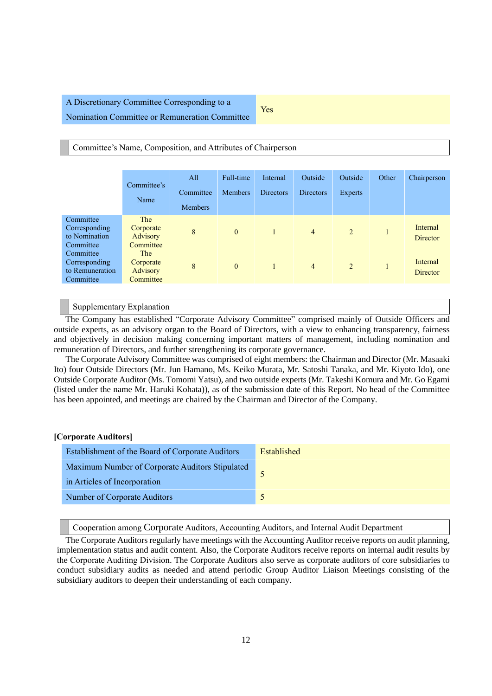# A Discretionary Committee Corresponding to a Nomination Committee or Remuneration Committee

Yes

#### Committee's Name, Composition, and Attributes of Chairperson

|                                                            | Committee's<br>Name                              | All<br>Committee<br><b>Members</b> | Full-time<br><b>Members</b> | Internal<br><b>Directors</b> | Outside<br><b>Directors</b> | Outside<br>Experts | Other | Chairperson                 |
|------------------------------------------------------------|--------------------------------------------------|------------------------------------|-----------------------------|------------------------------|-----------------------------|--------------------|-------|-----------------------------|
| Committee<br>Corresponding<br>to Nomination<br>Committee   | The<br>Corporate<br>Advisory<br>Committee        | 8                                  | $\mathbf{0}$                |                              | $\overline{4}$              | 2                  |       | Internal<br><b>Director</b> |
| Committee<br>Corresponding<br>to Remuneration<br>Committee | <b>The</b><br>Corporate<br>Advisory<br>Committee | 8                                  | $\mathbf{0}$                |                              | $\overline{4}$              | 2                  |       | Internal<br>Director        |

## Supplementary Explanation

The Company has established "Corporate Advisory Committee" comprised mainly of Outside Officers and outside experts, as an advisory organ to the Board of Directors, with a view to enhancing transparency, fairness and objectively in decision making concerning important matters of management, including nomination and remuneration of Directors, and further strengthening its corporate governance.

The Corporate Advisory Committee was comprised of eight members: the Chairman and Director (Mr. Masaaki Ito) four Outside Directors (Mr. Jun Hamano, Ms. Keiko Murata, Mr. Satoshi Tanaka, and Mr. Kiyoto Ido), one Outside Corporate Auditor (Ms. Tomomi Yatsu), and two outside experts (Mr. Takeshi Komura and Mr. Go Egami (listed under the name Mr. Haruki Kohata)), as of the submission date of this Report. No head of the Committee has been appointed, and meetings are chaired by the Chairman and Director of the Company.

#### **[Corporate Auditors]**

Cooperation among Corporate Auditors, Accounting Auditors, and Internal Audit Department

The Corporate Auditors regularly have meetings with the Accounting Auditor receive reports on audit planning, implementation status and audit content. Also, the Corporate Auditors receive reports on internal audit results by the Corporate Auditing Division. The Corporate Auditors also serve as corporate auditors of core subsidiaries to conduct subsidiary audits as needed and attend periodic Group Auditor Liaison Meetings consisting of the subsidiary auditors to deepen their understanding of each company.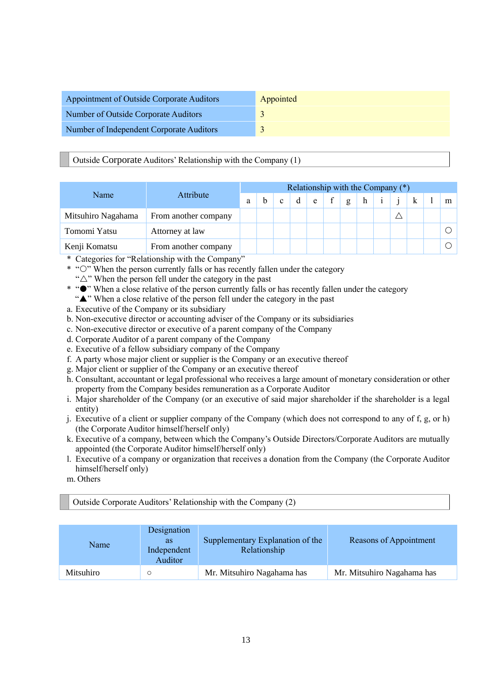| Appointment of Outside Corporate Auditors | Appointed |
|-------------------------------------------|-----------|
| Number of Outside Corporate Auditors      |           |
| Number of Independent Corporate Auditors  |           |

# Outside Corporate Auditors' Relationship with the Company (1)

|                    |                      | Relationship with the Company $(*)$ |  |              |   |   |  |   |   |  |  |  |  |   |
|--------------------|----------------------|-------------------------------------|--|--------------|---|---|--|---|---|--|--|--|--|---|
| Name               | Attribute            | a                                   |  | $\mathbf{c}$ | d | e |  | g | h |  |  |  |  | m |
| Mitsuhiro Nagahama | From another company |                                     |  |              |   |   |  |   |   |  |  |  |  |   |
| Tomomi Yatsu       | Attorney at law      |                                     |  |              |   |   |  |   |   |  |  |  |  |   |
| Kenji Komatsu      | From another company |                                     |  |              |   |   |  |   |   |  |  |  |  |   |

- \* Categories for "Relationship with the Company"
- \* "O" When the person currently falls or has recently fallen under the category
- " $\triangle$ " When the person fell under the category in the past

\* " $\bullet$ " When a close relative of the person currently falls or has recently fallen under the category "A" When a close relative of the person fell under the category in the past

- a. Executive of the Company or its subsidiary
- b. Non-executive director or accounting adviser of the Company or its subsidiaries
- c. Non-executive director or executive of a parent company of the Company
- d. Corporate Auditor of a parent company of the Company
- e. Executive of a fellow subsidiary company of the Company
- f. A party whose major client or supplier is the Company or an executive thereof
- g. Major client or supplier of the Company or an executive thereof
- h. Consultant, accountant or legal professional who receives a large amount of monetary consideration or other property from the Company besides remuneration as a Corporate Auditor
- i. Major shareholder of the Company (or an executive of said major shareholder if the shareholder is a legal entity)
- j. Executive of a client or supplier company of the Company (which does not correspond to any of f, g, or h) (the Corporate Auditor himself/herself only)
- k. Executive of a company, between which the Company's Outside Directors/Corporate Auditors are mutually appointed (the Corporate Auditor himself/herself only)
- l. Executive of a company or organization that receives a donation from the Company (the Corporate Auditor himself/herself only)
- m. Others

Outside Corporate Auditors' Relationship with the Company (2)

| Name      | Designation<br><b>as</b><br>Independent<br>Auditor | Supplementary Explanation of the<br>Relationship | Reasons of Appointment     |
|-----------|----------------------------------------------------|--------------------------------------------------|----------------------------|
| Mitsuhiro | Ω                                                  | Mr. Mitsuhiro Nagahama has                       | Mr. Mitsuhiro Nagahama has |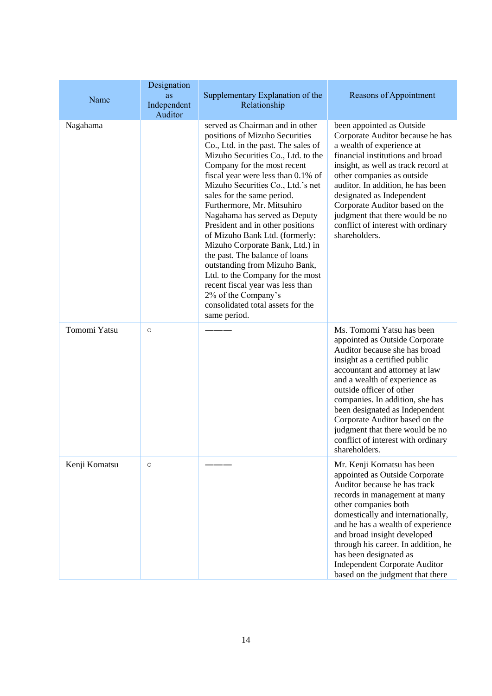|               | Designation<br>as      | Supplementary Explanation of the                                                                                                                                                                                                                                                                                                                                                                                                                                                                                                                                                                                                                                                      | <b>Reasons of Appointment</b>                                                                                                                                                                                                                                                                                                                                                                                                 |  |  |
|---------------|------------------------|---------------------------------------------------------------------------------------------------------------------------------------------------------------------------------------------------------------------------------------------------------------------------------------------------------------------------------------------------------------------------------------------------------------------------------------------------------------------------------------------------------------------------------------------------------------------------------------------------------------------------------------------------------------------------------------|-------------------------------------------------------------------------------------------------------------------------------------------------------------------------------------------------------------------------------------------------------------------------------------------------------------------------------------------------------------------------------------------------------------------------------|--|--|
| Name          | Independent<br>Auditor | Relationship                                                                                                                                                                                                                                                                                                                                                                                                                                                                                                                                                                                                                                                                          |                                                                                                                                                                                                                                                                                                                                                                                                                               |  |  |
| Nagahama      |                        | served as Chairman and in other<br>positions of Mizuho Securities<br>Co., Ltd. in the past. The sales of<br>Mizuho Securities Co., Ltd. to the<br>Company for the most recent<br>fiscal year were less than 0.1% of<br>Mizuho Securities Co., Ltd.'s net<br>sales for the same period.<br>Furthermore, Mr. Mitsuhiro<br>Nagahama has served as Deputy<br>President and in other positions<br>of Mizuho Bank Ltd. (formerly:<br>Mizuho Corporate Bank, Ltd.) in<br>the past. The balance of loans<br>outstanding from Mizuho Bank,<br>Ltd. to the Company for the most<br>recent fiscal year was less than<br>2% of the Company's<br>consolidated total assets for the<br>same period. | been appointed as Outside<br>Corporate Auditor because he has<br>a wealth of experience at<br>financial institutions and broad<br>insight, as well as track record at<br>other companies as outside<br>auditor. In addition, he has been<br>designated as Independent<br>Corporate Auditor based on the<br>judgment that there would be no<br>conflict of interest with ordinary<br>shareholders.                             |  |  |
| Tomomi Yatsu  | $\circlearrowright$    |                                                                                                                                                                                                                                                                                                                                                                                                                                                                                                                                                                                                                                                                                       | Ms. Tomomi Yatsu has been<br>appointed as Outside Corporate<br>Auditor because she has broad<br>insight as a certified public<br>accountant and attorney at law<br>and a wealth of experience as<br>outside officer of other<br>companies. In addition, she has<br>been designated as Independent<br>Corporate Auditor based on the<br>judgment that there would be no<br>conflict of interest with ordinary<br>shareholders. |  |  |
| Kenji Komatsu | $\circ$                |                                                                                                                                                                                                                                                                                                                                                                                                                                                                                                                                                                                                                                                                                       | Mr. Kenji Komatsu has been<br>appointed as Outside Corporate<br>Auditor because he has track<br>records in management at many<br>other companies both<br>domestically and internationally,<br>and he has a wealth of experience<br>and broad insight developed<br>through his career. In addition, he<br>has been designated as<br><b>Independent Corporate Auditor</b><br>based on the judgment that there                   |  |  |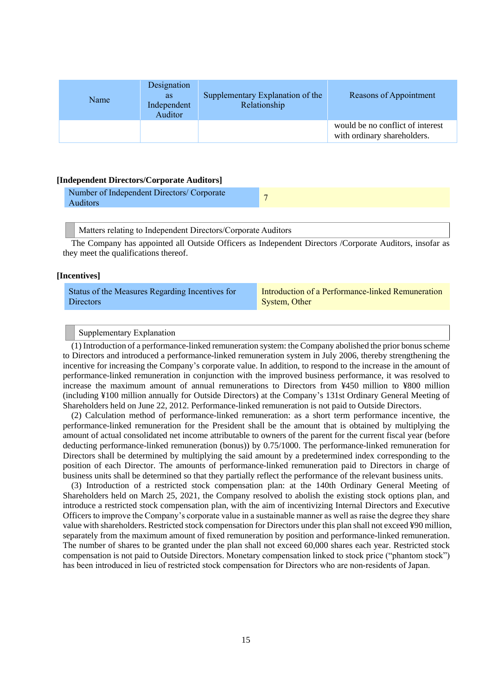| Name | Designation<br><b>as</b><br>Independent<br>Auditor | Supplementary Explanation of the<br>Relationship | Reasons of Appointment                                          |
|------|----------------------------------------------------|--------------------------------------------------|-----------------------------------------------------------------|
|      |                                                    |                                                  | would be no conflict of interest<br>with ordinary shareholders. |

#### **[Independent Directors/Corporate Auditors]**

| Number of Independent Directors/ Corporate |  |
|--------------------------------------------|--|
| Auditors                                   |  |

Matters relating to Independent Directors/Corporate Auditors

The Company has appointed all Outside Officers as Independent Directors /Corporate Auditors, insofar as they meet the qualifications thereof.

#### **[Incentives]**

| Status of the Measures Regarding Incentives for | Introduction of a Performance-linked Remuneration |
|-------------------------------------------------|---------------------------------------------------|
| Directors                                       | System, Other                                     |

#### Supplementary Explanation

(1) Introduction of a performance-linked remuneration system: the Company abolished the prior bonus scheme to Directors and introduced a performance-linked remuneration system in July 2006, thereby strengthening the incentive for increasing the Company's corporate value. In addition, to respond to the increase in the amount of performance-linked remuneration in conjunction with the improved business performance, it was resolved to increase the maximum amount of annual remunerations to Directors from ¥450 million to ¥800 million (including ¥100 million annually for Outside Directors) at the Company's 131st Ordinary General Meeting of Shareholders held on June 22, 2012. Performance-linked remuneration is not paid to Outside Directors.

(2) Calculation method of performance-linked remuneration: as a short term performance incentive, the performance-linked remuneration for the President shall be the amount that is obtained by multiplying the amount of actual consolidated net income attributable to owners of the parent for the current fiscal year (before deducting performance-linked remuneration (bonus)) by 0.75/1000. The performance-linked remuneration for Directors shall be determined by multiplying the said amount by a predetermined index corresponding to the position of each Director. The amounts of performance-linked remuneration paid to Directors in charge of business units shall be determined so that they partially reflect the performance of the relevant business units.

(3) Introduction of a restricted stock compensation plan: at the 140th Ordinary General Meeting of Shareholders held on March 25, 2021, the Company resolved to abolish the existing stock options plan, and introduce a restricted stock compensation plan, with the aim of incentivizing Internal Directors and Executive Officers to improve the Company's corporate value in a sustainable manner as well as raise the degree they share value with shareholders. Restricted stock compensation for Directors under this plan shall not exceed ¥90 million, separately from the maximum amount of fixed remuneration by position and performance-linked remuneration. The number of shares to be granted under the plan shall not exceed 60,000 shares each year. Restricted stock compensation is not paid to Outside Directors. Monetary compensation linked to stock price ("phantom stock") has been introduced in lieu of restricted stock compensation for Directors who are non-residents of Japan.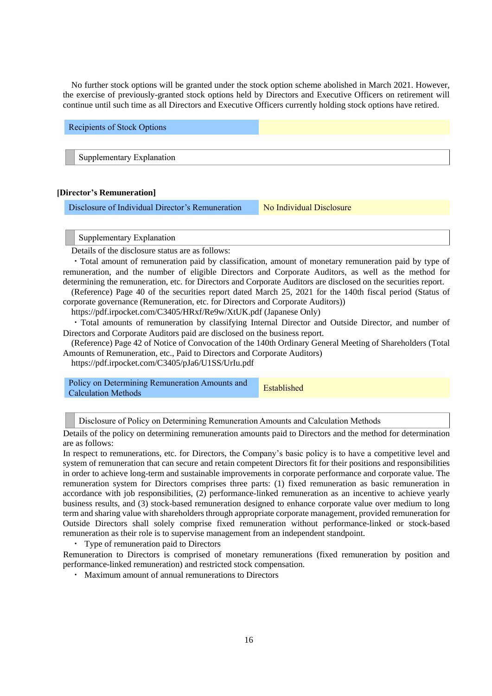No further stock options will be granted under the stock option scheme abolished in March 2021. However, the exercise of previously-granted stock options held by Directors and Executive Officers on retirement will continue until such time as all Directors and Executive Officers currently holding stock options have retired.

Recipients of Stock Options Supplementary Explanation

#### **[Director's Remuneration]**

Disclosure of Individual Director's Remuneration No Individual Disclosure

#### Supplementary Explanation

Details of the disclosure status are as follows:

・Total amount of remuneration paid by classification, amount of monetary remuneration paid by type of remuneration, and the number of eligible Directors and Corporate Auditors, as well as the method for determining the remuneration, etc. for Directors and Corporate Auditors are disclosed on the securities report.

(Reference) Page 40 of the securities report dated March 25, 2021 for the 140th fiscal period (Status of corporate governance (Remuneration, etc. for Directors and Corporate Auditors))

https://pdf.irpocket.com/C3405/HRxf/Re9w/XtUK.pdf (Japanese Only)

・Total amounts of remuneration by classifying Internal Director and Outside Director, and number of Directors and Corporate Auditors paid are disclosed on the business report.

(Reference) Page 42 of Notice of Convocation of the 140th Ordinary General Meeting of Shareholders (Total Amounts of Remuneration, etc., Paid to Directors and Corporate Auditors)

https://pdf.irpocket.com/C3405/pJa6/U1SS/UrIu.pdf

| Policy on Determining Remuneration Amounts and<br><b>Calculation Methods</b> | Established |
|------------------------------------------------------------------------------|-------------|
|                                                                              |             |

Disclosure of Policy on Determining Remuneration Amounts and Calculation Methods

Details of the policy on determining remuneration amounts paid to Directors and the method for determination are as follows:

In respect to remunerations, etc. for Directors, the Company's basic policy is to have a competitive level and system of remuneration that can secure and retain competent Directors fit for their positions and responsibilities in order to achieve long-term and sustainable improvements in corporate performance and corporate value. The remuneration system for Directors comprises three parts: (1) fixed remuneration as basic remuneration in accordance with job responsibilities, (2) performance-linked remuneration as an incentive to achieve yearly business results, and (3) stock-based remuneration designed to enhance corporate value over medium to long term and sharing value with shareholders through appropriate corporate management, provided remuneration for Outside Directors shall solely comprise fixed remuneration without performance-linked or stock-based remuneration as their role is to supervise management from an independent standpoint.

・ Type of remuneration paid to Directors

Remuneration to Directors is comprised of monetary remunerations (fixed remuneration by position and performance-linked remuneration) and restricted stock compensation.

・ Maximum amount of annual remunerations to Directors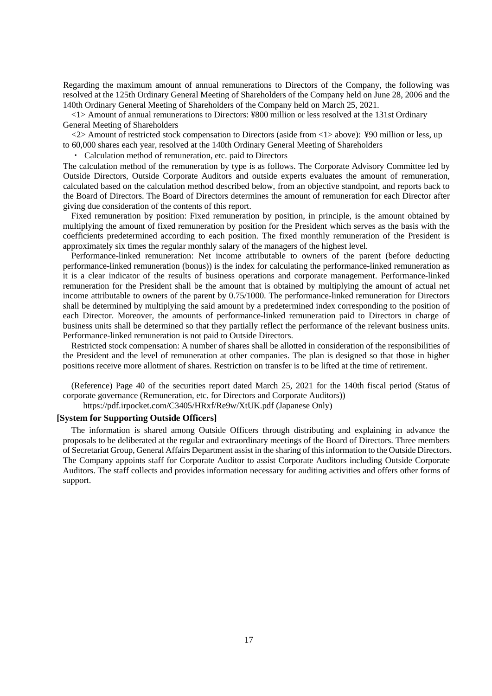Regarding the maximum amount of annual remunerations to Directors of the Company, the following was resolved at the 125th Ordinary General Meeting of Shareholders of the Company held on June 28, 2006 and the 140th Ordinary General Meeting of Shareholders of the Company held on March 25, 2021.

<1> Amount of annual remunerations to Directors: ¥800 million or less resolved at the 131st Ordinary General Meeting of Shareholders

<2> Amount of restricted stock compensation to Directors (aside from <1> above): ¥90 million or less, up to 60,000 shares each year, resolved at the 140th Ordinary General Meeting of Shareholders

・ Calculation method of remuneration, etc. paid to Directors

The calculation method of the remuneration by type is as follows. The Corporate Advisory Committee led by Outside Directors, Outside Corporate Auditors and outside experts evaluates the amount of remuneration, calculated based on the calculation method described below, from an objective standpoint, and reports back to the Board of Directors. The Board of Directors determines the amount of remuneration for each Director after giving due consideration of the contents of this report.

Fixed remuneration by position: Fixed remuneration by position, in principle, is the amount obtained by multiplying the amount of fixed remuneration by position for the President which serves as the basis with the coefficients predetermined according to each position. The fixed monthly remuneration of the President is approximately six times the regular monthly salary of the managers of the highest level.

Performance-linked remuneration: Net income attributable to owners of the parent (before deducting performance-linked remuneration (bonus)) is the index for calculating the performance-linked remuneration as it is a clear indicator of the results of business operations and corporate management. Performance-linked remuneration for the President shall be the amount that is obtained by multiplying the amount of actual net income attributable to owners of the parent by 0.75/1000. The performance-linked remuneration for Directors shall be determined by multiplying the said amount by a predetermined index corresponding to the position of each Director. Moreover, the amounts of performance-linked remuneration paid to Directors in charge of business units shall be determined so that they partially reflect the performance of the relevant business units. Performance-linked remuneration is not paid to Outside Directors.

Restricted stock compensation: A number of shares shall be allotted in consideration of the responsibilities of the President and the level of remuneration at other companies. The plan is designed so that those in higher positions receive more allotment of shares. Restriction on transfer is to be lifted at the time of retirement.

(Reference) Page 40 of the securities report dated March 25, 2021 for the 140th fiscal period (Status of corporate governance (Remuneration, etc. for Directors and Corporate Auditors))

https://pdf.irpocket.com/C3405/HRxf/Re9w/XtUK.pdf (Japanese Only)

#### **[System for Supporting Outside Officers]**

The information is shared among Outside Officers through distributing and explaining in advance the proposals to be deliberated at the regular and extraordinary meetings of the Board of Directors. Three members of Secretariat Group, General Affairs Department assist in the sharing of this information to the Outside Directors. The Company appoints staff for Corporate Auditor to assist Corporate Auditors including Outside Corporate Auditors. The staff collects and provides information necessary for auditing activities and offers other forms of support.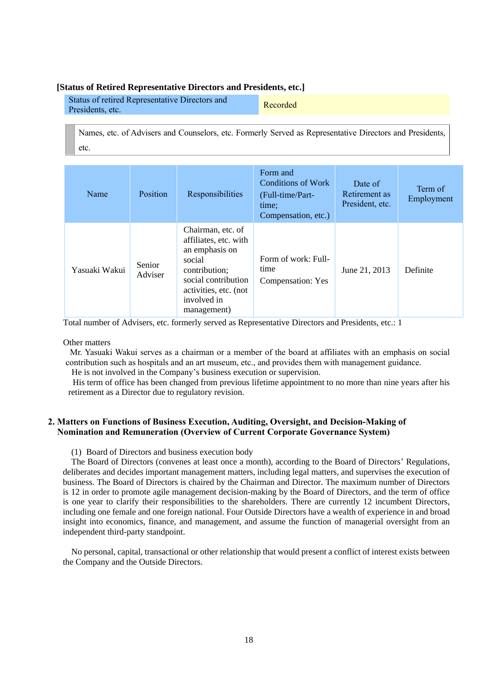#### **[Status of Retired Representative Directors and Presidents, etc.]**

| Status of retired Representative Directors and | Recorded |
|------------------------------------------------|----------|
| Presidents, etc.                               |          |

Names, etc. of Advisers and Counselors, etc. Formerly Served as Representative Directors and Presidents, etc.

| Name          | Position          | Responsibilities                                                                                                                                                      | Form and<br><b>Conditions of Work</b><br>(Full-time/Part-<br>time:<br>Compensation, etc.) | Date of<br>Retirement as<br>President, etc. | Term of<br>Employment |
|---------------|-------------------|-----------------------------------------------------------------------------------------------------------------------------------------------------------------------|-------------------------------------------------------------------------------------------|---------------------------------------------|-----------------------|
| Yasuaki Wakui | Senior<br>Adviser | Chairman, etc. of<br>affiliates, etc. with<br>an emphasis on<br>social<br>contribution;<br>social contribution<br>activities, etc. (not<br>involved in<br>management) | Form of work: Full-<br>time<br>Compensation: Yes                                          | June 21, 2013                               | Definite              |

Total number of Advisers, etc. formerly served as Representative Directors and Presidents, etc.: 1

Other matters

Mr. Yasuaki Wakui serves as a chairman or a member of the board at affiliates with an emphasis on social contribution such as hospitals and an art museum, etc., and provides them with management guidance.

He is not involved in the Company's business execution or supervision.

His term of office has been changed from previous lifetime appointment to no more than nine years after his retirement as a Director due to regulatory revision.

# **2. Matters on Functions of Business Execution, Auditing, Oversight, and Decision-Making of Nomination and Remuneration (Overview of Current Corporate Governance System)**

(1) Board of Directors and business execution body

The Board of Directors (convenes at least once a month), according to the Board of Directors' Regulations, deliberates and decides important management matters, including legal matters, and supervises the execution of business. The Board of Directors is chaired by the Chairman and Director. The maximum number of Directors is 12 in order to promote agile management decision-making by the Board of Directors, and the term of office is one year to clarify their responsibilities to the shareholders. There are currently 12 incumbent Directors, including one female and one foreign national. Four Outside Directors have a wealth of experience in and broad insight into economics, finance, and management, and assume the function of managerial oversight from an independent third-party standpoint.

No personal, capital, transactional or other relationship that would present a conflict of interest exists between the Company and the Outside Directors.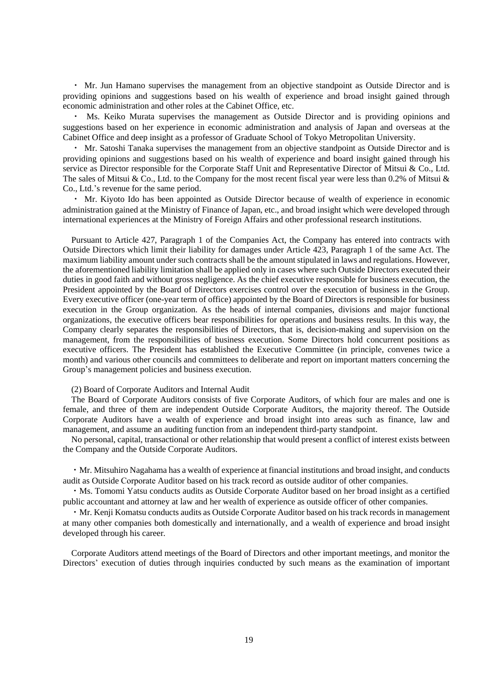・ Mr. Jun Hamano supervises the management from an objective standpoint as Outside Director and is providing opinions and suggestions based on his wealth of experience and broad insight gained through economic administration and other roles at the Cabinet Office, etc.

Ms. Keiko Murata supervises the management as Outside Director and is providing opinions and suggestions based on her experience in economic administration and analysis of Japan and overseas at the Cabinet Office and deep insight as a professor of Graduate School of Tokyo Metropolitan University.

・ Mr. Satoshi Tanaka supervises the management from an objective standpoint as Outside Director and is providing opinions and suggestions based on his wealth of experience and board insight gained through his service as Director responsible for the Corporate Staff Unit and Representative Director of Mitsui & Co., Ltd. The sales of Mitsui & Co., Ltd. to the Company for the most recent fiscal year were less than 0.2% of Mitsui & Co., Ltd.'s revenue for the same period.

・ Mr. Kiyoto Ido has been appointed as Outside Director because of wealth of experience in economic administration gained at the Ministry of Finance of Japan, etc., and broad insight which were developed through international experiences at the Ministry of Foreign Affairs and other professional research institutions.

Pursuant to Article 427, Paragraph 1 of the Companies Act, the Company has entered into contracts with Outside Directors which limit their liability for damages under Article 423, Paragraph 1 of the same Act. The maximum liability amount under such contracts shall be the amount stipulated in laws and regulations. However, the aforementioned liability limitation shall be applied only in cases where such Outside Directors executed their duties in good faith and without gross negligence. As the chief executive responsible for business execution, the President appointed by the Board of Directors exercises control over the execution of business in the Group. Every executive officer (one-year term of office) appointed by the Board of Directors is responsible for business execution in the Group organization. As the heads of internal companies, divisions and major functional organizations, the executive officers bear responsibilities for operations and business results. In this way, the Company clearly separates the responsibilities of Directors, that is, decision-making and supervision on the management, from the responsibilities of business execution. Some Directors hold concurrent positions as executive officers. The President has established the Executive Committee (in principle, convenes twice a month) and various other councils and committees to deliberate and report on important matters concerning the Group's management policies and business execution.

#### (2) Board of Corporate Auditors and Internal Audit

The Board of Corporate Auditors consists of five Corporate Auditors, of which four are males and one is female, and three of them are independent Outside Corporate Auditors, the majority thereof. The Outside Corporate Auditors have a wealth of experience and broad insight into areas such as finance, law and management, and assume an auditing function from an independent third-party standpoint.

No personal, capital, transactional or other relationship that would present a conflict of interest exists between the Company and the Outside Corporate Auditors.

・Mr. Mitsuhiro Nagahama has a wealth of experience at financial institutions and broad insight, and conducts audit as Outside Corporate Auditor based on his track record as outside auditor of other companies.

・Ms. Tomomi Yatsu conducts audits as Outside Corporate Auditor based on her broad insight as a certified public accountant and attorney at law and her wealth of experience as outside officer of other companies.

・Mr. Kenji Komatsu conducts audits as Outside Corporate Auditor based on his track records in management at many other companies both domestically and internationally, and a wealth of experience and broad insight developed through his career.

Corporate Auditors attend meetings of the Board of Directors and other important meetings, and monitor the Directors' execution of duties through inquiries conducted by such means as the examination of important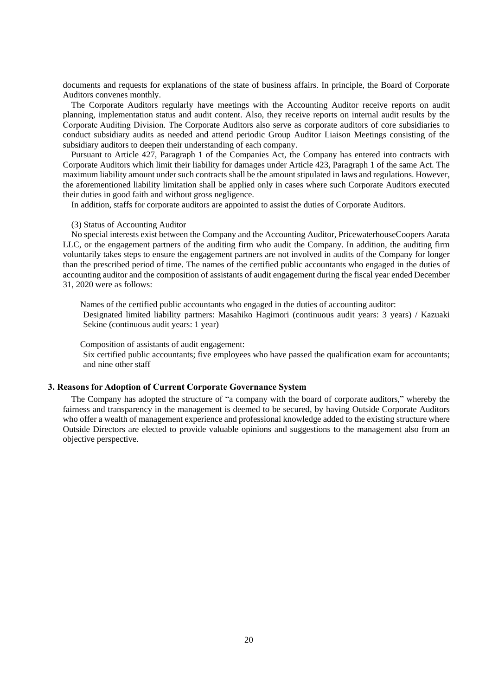documents and requests for explanations of the state of business affairs. In principle, the Board of Corporate Auditors convenes monthly.

The Corporate Auditors regularly have meetings with the Accounting Auditor receive reports on audit planning, implementation status and audit content. Also, they receive reports on internal audit results by the Corporate Auditing Division. The Corporate Auditors also serve as corporate auditors of core subsidiaries to conduct subsidiary audits as needed and attend periodic Group Auditor Liaison Meetings consisting of the subsidiary auditors to deepen their understanding of each company.

Pursuant to Article 427, Paragraph 1 of the Companies Act, the Company has entered into contracts with Corporate Auditors which limit their liability for damages under Article 423, Paragraph 1 of the same Act. The maximum liability amount under such contracts shall be the amount stipulated in laws and regulations. However, the aforementioned liability limitation shall be applied only in cases where such Corporate Auditors executed their duties in good faith and without gross negligence.

In addition, staffs for corporate auditors are appointed to assist the duties of Corporate Auditors.

#### (3) Status of Accounting Auditor

No special interests exist between the Company and the Accounting Auditor, PricewaterhouseCoopers Aarata LLC, or the engagement partners of the auditing firm who audit the Company. In addition, the auditing firm voluntarily takes steps to ensure the engagement partners are not involved in audits of the Company for longer than the prescribed period of time. The names of the certified public accountants who engaged in the duties of accounting auditor and the composition of assistants of audit engagement during the fiscal year ended December 31, 2020 were as follows:

Names of the certified public accountants who engaged in the duties of accounting auditor: Designated limited liability partners: Masahiko Hagimori (continuous audit years: 3 years) / Kazuaki Sekine (continuous audit years: 1 year)

Composition of assistants of audit engagement:

Six certified public accountants; five employees who have passed the qualification exam for accountants; and nine other staff

#### **3. Reasons for Adoption of Current Corporate Governance System**

The Company has adopted the structure of "a company with the board of corporate auditors," whereby the fairness and transparency in the management is deemed to be secured, by having Outside Corporate Auditors who offer a wealth of management experience and professional knowledge added to the existing structure where Outside Directors are elected to provide valuable opinions and suggestions to the management also from an objective perspective.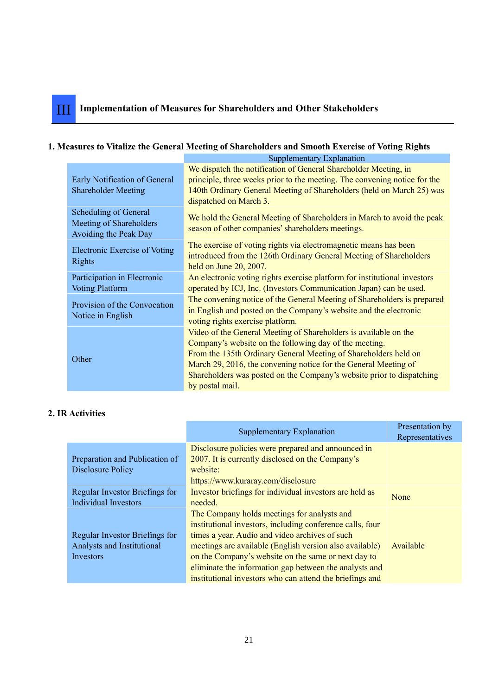## **1. Measures to Vitalize the General Meeting of Shareholders and Smooth Exercise of Voting Rights** Supplementary Explanation

|                                                                           | Supplementary Explaination                                                                                                                                                                                                                                                                                                                                   |
|---------------------------------------------------------------------------|--------------------------------------------------------------------------------------------------------------------------------------------------------------------------------------------------------------------------------------------------------------------------------------------------------------------------------------------------------------|
| Early Notification of General<br><b>Shareholder Meeting</b>               | We dispatch the notification of General Shareholder Meeting, in<br>principle, three weeks prior to the meeting. The convening notice for the<br>140th Ordinary General Meeting of Shareholders (held on March 25) was<br>dispatched on March 3.                                                                                                              |
| Scheduling of General<br>Meeting of Shareholders<br>Avoiding the Peak Day | We hold the General Meeting of Shareholders in March to avoid the peak<br>season of other companies' shareholders meetings.                                                                                                                                                                                                                                  |
| Electronic Exercise of Voting<br>Rights                                   | The exercise of voting rights via electromagnetic means has been<br>introduced from the 126th Ordinary General Meeting of Shareholders<br>held on June 20, 2007.                                                                                                                                                                                             |
| Participation in Electronic<br><b>Voting Platform</b>                     | An electronic voting rights exercise platform for institutional investors<br>operated by ICJ, Inc. (Investors Communication Japan) can be used.                                                                                                                                                                                                              |
| Provision of the Convocation<br>Notice in English                         | The convening notice of the General Meeting of Shareholders is prepared<br>in English and posted on the Company's website and the electronic<br>voting rights exercise platform.                                                                                                                                                                             |
| Other                                                                     | Video of the General Meeting of Shareholders is available on the<br>Company's website on the following day of the meeting.<br>From the 135th Ordinary General Meeting of Shareholders held on<br>March 29, 2016, the convening notice for the General Meeting of<br>Shareholders was posted on the Company's website prior to dispatching<br>by postal mail. |

# **2. IR Activities**

|                                                               | Supplementary Explanation                                                                                     | Presentation by<br>Representatives |
|---------------------------------------------------------------|---------------------------------------------------------------------------------------------------------------|------------------------------------|
| Preparation and Publication of                                | Disclosure policies were prepared and announced in<br>2007. It is currently disclosed on the Company's        |                                    |
| Disclosure Policy                                             | website:<br>https://www.kuraray.com/disclosure                                                                |                                    |
| Regular Investor Briefings for<br><b>Individual Investors</b> | Investor briefings for individual investors are held as<br>needed.                                            | None                               |
|                                                               | The Company holds meetings for analysts and<br>institutional investors, including conference calls, four      |                                    |
| Regular Investor Briefings for<br>Analysts and Institutional  | times a year. Audio and video archives of such<br>meetings are available (English version also available)     | Available                          |
| Investors                                                     | on the Company's website on the same or next day to<br>eliminate the information gap between the analysts and |                                    |
|                                                               | institutional investors who can attend the briefings and                                                      |                                    |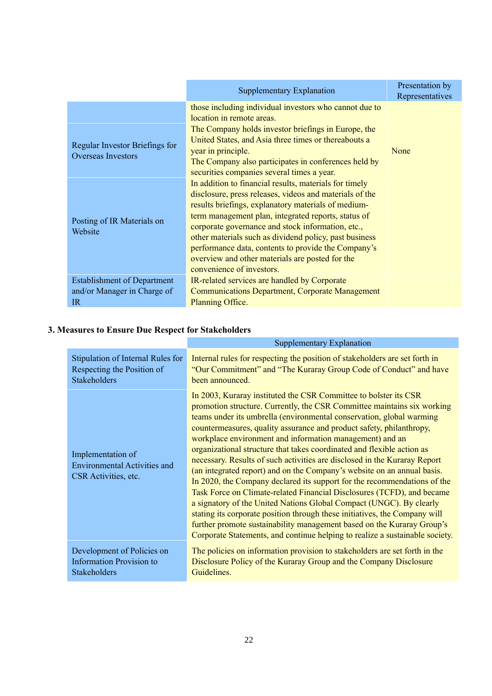|                                                                         | <b>Supplementary Explanation</b>                                                                                                                                                                                                                                                                                                                                                                                                                                                      | Presentation by<br>Representatives |
|-------------------------------------------------------------------------|---------------------------------------------------------------------------------------------------------------------------------------------------------------------------------------------------------------------------------------------------------------------------------------------------------------------------------------------------------------------------------------------------------------------------------------------------------------------------------------|------------------------------------|
|                                                                         | those including individual investors who cannot due to<br>location in remote areas.                                                                                                                                                                                                                                                                                                                                                                                                   |                                    |
| Regular Investor Briefings for<br><b>Overseas Investors</b>             | The Company holds investor briefings in Europe, the<br>United States, and Asia three times or thereabouts a<br>year in principle.<br>The Company also participates in conferences held by<br>securities companies several times a year.                                                                                                                                                                                                                                               | None                               |
| Posting of IR Materials on<br>Website                                   | In addition to financial results, materials for timely<br>disclosure, press releases, videos and materials of the<br>results briefings, explanatory materials of medium-<br>term management plan, integrated reports, status of<br>corporate governance and stock information, etc.,<br>other materials such as dividend policy, past business<br>performance data, contents to provide the Company's<br>overview and other materials are posted for the<br>convenience of investors. |                                    |
| <b>Establishment of Department</b><br>and/or Manager in Charge of<br>IR | IR-related services are handled by Corporate<br><b>Communications Department, Corporate Management</b><br>Planning Office.                                                                                                                                                                                                                                                                                                                                                            |                                    |

# **3. Measures to Ensure Due Respect for Stakeholders**

|                                                                                  | Supplementary Explanation                                                                                                                                                                                                                                                                                                                                                                                                                                                                                                                                                                                                                                                                                                                                                                                                                                                                                                                                                                                                                                      |
|----------------------------------------------------------------------------------|----------------------------------------------------------------------------------------------------------------------------------------------------------------------------------------------------------------------------------------------------------------------------------------------------------------------------------------------------------------------------------------------------------------------------------------------------------------------------------------------------------------------------------------------------------------------------------------------------------------------------------------------------------------------------------------------------------------------------------------------------------------------------------------------------------------------------------------------------------------------------------------------------------------------------------------------------------------------------------------------------------------------------------------------------------------|
| Stipulation of Internal Rules for                                                | Internal rules for respecting the position of stakeholders are set forth in                                                                                                                                                                                                                                                                                                                                                                                                                                                                                                                                                                                                                                                                                                                                                                                                                                                                                                                                                                                    |
| Respecting the Position of                                                       | "Our Commitment" and "The Kuraray Group Code of Conduct" and have                                                                                                                                                                                                                                                                                                                                                                                                                                                                                                                                                                                                                                                                                                                                                                                                                                                                                                                                                                                              |
| <b>Stakeholders</b>                                                              | been announced.                                                                                                                                                                                                                                                                                                                                                                                                                                                                                                                                                                                                                                                                                                                                                                                                                                                                                                                                                                                                                                                |
| Implementation of<br><b>Environmental Activities and</b><br>CSR Activities, etc. | In 2003, Kuraray instituted the CSR Committee to bolster its CSR<br>promotion structure. Currently, the CSR Committee maintains six working<br>teams under its umbrella (environmental conservation, global warming<br>countermeasures, quality assurance and product safety, philanthropy,<br>workplace environment and information management) and an<br>organizational structure that takes coordinated and flexible action as<br>necessary. Results of such activities are disclosed in the Kuraray Report<br>(an integrated report) and on the Company's website on an annual basis.<br>In 2020, the Company declared its support for the recommendations of the<br>Task Force on Climate-related Financial Disclosures (TCFD), and became<br>a signatory of the United Nations Global Compact (UNGC). By clearly<br>stating its corporate position through these initiatives, the Company will<br>further promote sustainability management based on the Kuraray Group's<br>Corporate Statements, and continue helping to realize a sustainable society. |
| Development of Policies on                                                       | The policies on information provision to stakeholders are set forth in the                                                                                                                                                                                                                                                                                                                                                                                                                                                                                                                                                                                                                                                                                                                                                                                                                                                                                                                                                                                     |
| <b>Information Provision to</b>                                                  | Disclosure Policy of the Kuraray Group and the Company Disclosure                                                                                                                                                                                                                                                                                                                                                                                                                                                                                                                                                                                                                                                                                                                                                                                                                                                                                                                                                                                              |
| <b>Stakeholders</b>                                                              | Guidelines.                                                                                                                                                                                                                                                                                                                                                                                                                                                                                                                                                                                                                                                                                                                                                                                                                                                                                                                                                                                                                                                    |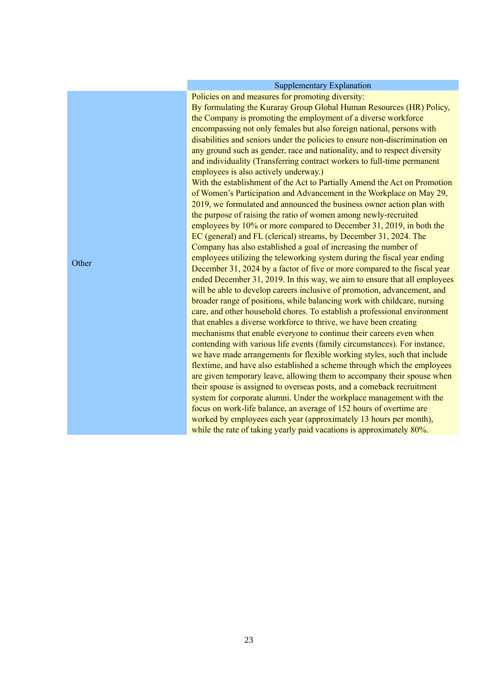### Supplementary Explanation

Policies on and measures for promoting diversity:

By formulating the Kuraray Group Global Human Resources (HR) Policy, the Company is promoting the employment of a diverse workforce encompassing not only females but also foreign national, persons with disabilities and seniors under the policies to ensure non-discrimination on any ground such as gender, race and nationality, and to respect diversity and individuality (Transferring contract workers to full-time permanent employees is also actively underway.)

With the establishment of the Act to Partially Amend the Act on Promotion of Women's Participation and Advancement in the Workplace on May 29, 2019, we formulated and announced the business owner action plan with the purpose of raising the ratio of women among newly-recruited employees by 10% or more compared to December 31, 2019, in both the EC (general) and FL (clerical) streams, by December 31, 2024. The Company has also established a goal of increasing the number of employees utilizing the teleworking system during the fiscal year ending December 31, 2024 by a factor of five or more compared to the fiscal year ended December 31, 2019. In this way, we aim to ensure that all employees will be able to develop careers inclusive of promotion, advancement, and broader range of positions, while balancing work with childcare, nursing care, and other household chores. To establish a professional environment that enables a diverse workforce to thrive, we have been creating mechanisms that enable everyone to continue their careers even when contending with various life events (family circumstances). For instance, we have made arrangements for flexible working styles, such that include flextime, and have also established a scheme through which the employees are given temporary leave, allowing them to accompany their spouse when their spouse is assigned to overseas posts, and a comeback recruitment system for corporate alumni. Under the workplace management with the focus on work-life balance, an average of 152 hours of overtime are worked by employees each year (approximately 13 hours per month), while the rate of taking yearly paid vacations is approximately 80%.

**Other**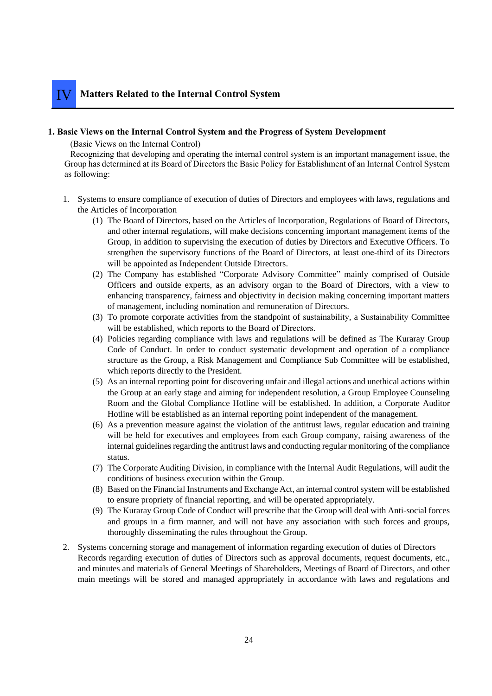## **1. Basic Views on the Internal Control System and the Progress of System Development**

(Basic Views on the Internal Control)

Recognizing that developing and operating the internal control system is an important management issue, the Group has determined at its Board of Directors the Basic Policy for Establishment of an Internal Control System as following:

- 1. Systems to ensure compliance of execution of duties of Directors and employees with laws, regulations and the Articles of Incorporation
	- (1) The Board of Directors, based on the Articles of Incorporation, Regulations of Board of Directors, and other internal regulations, will make decisions concerning important management items of the Group, in addition to supervising the execution of duties by Directors and Executive Officers. To strengthen the supervisory functions of the Board of Directors, at least one-third of its Directors will be appointed as Independent Outside Directors.
	- (2) The Company has established "Corporate Advisory Committee" mainly comprised of Outside Officers and outside experts, as an advisory organ to the Board of Directors, with a view to enhancing transparency, fairness and objectivity in decision making concerning important matters of management, including nomination and remuneration of Directors.
	- (3) To promote corporate activities from the standpoint of sustainability, a Sustainability Committee will be established, which reports to the Board of Directors.
	- (4) Policies regarding compliance with laws and regulations will be defined as The Kuraray Group Code of Conduct. In order to conduct systematic development and operation of a compliance structure as the Group, a Risk Management and Compliance Sub Committee will be established, which reports directly to the President.
	- (5) As an internal reporting point for discovering unfair and illegal actions and unethical actions within the Group at an early stage and aiming for independent resolution, a Group Employee Counseling Room and the Global Compliance Hotline will be established. In addition, a Corporate Auditor Hotline will be established as an internal reporting point independent of the management.
	- (6) As a prevention measure against the violation of the antitrust laws, regular education and training will be held for executives and employees from each Group company, raising awareness of the internal guidelines regarding the antitrust laws and conducting regular monitoring of the compliance status.
	- (7) The Corporate Auditing Division, in compliance with the Internal Audit Regulations, will audit the conditions of business execution within the Group.
	- (8) Based on the Financial Instruments and Exchange Act, an internal control system will be established to ensure propriety of financial reporting, and will be operated appropriately.
	- (9) The Kuraray Group Code of Conduct will prescribe that the Group will deal with Anti-social forces and groups in a firm manner, and will not have any association with such forces and groups, thoroughly disseminating the rules throughout the Group.
- 2. Systems concerning storage and management of information regarding execution of duties of Directors Records regarding execution of duties of Directors such as approval documents, request documents, etc., and minutes and materials of General Meetings of Shareholders, Meetings of Board of Directors, and other main meetings will be stored and managed appropriately in accordance with laws and regulations and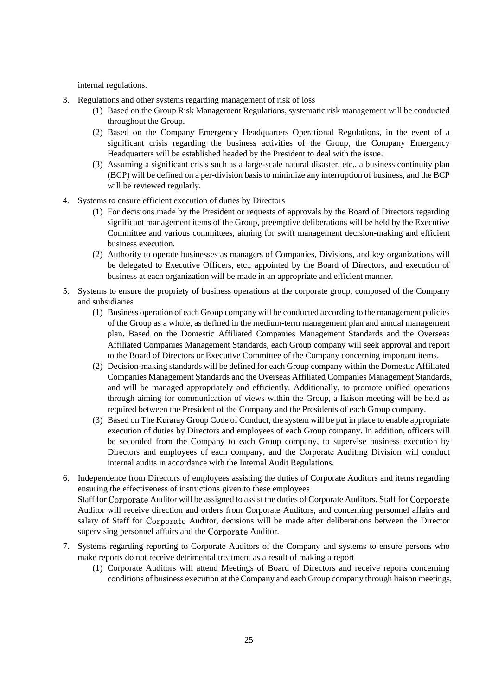internal regulations.

- 3. Regulations and other systems regarding management of risk of loss
	- (1) Based on the Group Risk Management Regulations, systematic risk management will be conducted throughout the Group.
	- (2) Based on the Company Emergency Headquarters Operational Regulations, in the event of a significant crisis regarding the business activities of the Group, the Company Emergency Headquarters will be established headed by the President to deal with the issue.
	- (3) Assuming a significant crisis such as a large-scale natural disaster, etc., a business continuity plan (BCP) will be defined on a per-division basis to minimize any interruption of business, and the BCP will be reviewed regularly.
- 4. Systems to ensure efficient execution of duties by Directors
	- (1) For decisions made by the President or requests of approvals by the Board of Directors regarding significant management items of the Group, preemptive deliberations will be held by the Executive Committee and various committees, aiming for swift management decision-making and efficient business execution.
	- (2) Authority to operate businesses as managers of Companies, Divisions, and key organizations will be delegated to Executive Officers, etc., appointed by the Board of Directors, and execution of business at each organization will be made in an appropriate and efficient manner.
- 5. Systems to ensure the propriety of business operations at the corporate group, composed of the Company and subsidiaries
	- (1) Business operation of each Group company will be conducted according to the management policies of the Group as a whole, as defined in the medium-term management plan and annual management plan. Based on the Domestic Affiliated Companies Management Standards and the Overseas Affiliated Companies Management Standards, each Group company will seek approval and report to the Board of Directors or Executive Committee of the Company concerning important items.
	- (2) Decision-making standards will be defined for each Group company within the Domestic Affiliated Companies Management Standards and the Overseas Affiliated Companies Management Standards, and will be managed appropriately and efficiently. Additionally, to promote unified operations through aiming for communication of views within the Group, a liaison meeting will be held as required between the President of the Company and the Presidents of each Group company.
	- (3) Based on The Kuraray Group Code of Conduct, the system will be put in place to enable appropriate execution of duties by Directors and employees of each Group company. In addition, officers will be seconded from the Company to each Group company, to supervise business execution by Directors and employees of each company, and the Corporate Auditing Division will conduct internal audits in accordance with the Internal Audit Regulations.
- 6. Independence from Directors of employees assisting the duties of Corporate Auditors and items regarding ensuring the effectiveness of instructions given to these employees Staff for Corporate Auditor will be assigned to assist the duties of Corporate Auditors. Staff for Corporate Auditor will receive direction and orders from Corporate Auditors, and concerning personnel affairs and salary of Staff for Corporate Auditor, decisions will be made after deliberations between the Director supervising personnel affairs and the Corporate Auditor.
- 7. Systems regarding reporting to Corporate Auditors of the Company and systems to ensure persons who make reports do not receive detrimental treatment as a result of making a report
	- (1) Corporate Auditors will attend Meetings of Board of Directors and receive reports concerning conditions of business execution at the Company and each Group company through liaison meetings,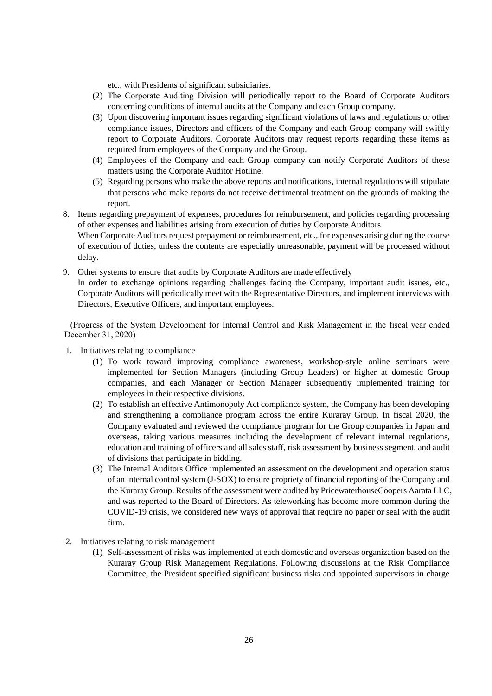etc., with Presidents of significant subsidiaries.

- (2) The Corporate Auditing Division will periodically report to the Board of Corporate Auditors concerning conditions of internal audits at the Company and each Group company.
- (3) Upon discovering important issues regarding significant violations of laws and regulations or other compliance issues, Directors and officers of the Company and each Group company will swiftly report to Corporate Auditors. Corporate Auditors may request reports regarding these items as required from employees of the Company and the Group.
- (4) Employees of the Company and each Group company can notify Corporate Auditors of these matters using the Corporate Auditor Hotline.
- (5) Regarding persons who make the above reports and notifications, internal regulations will stipulate that persons who make reports do not receive detrimental treatment on the grounds of making the report.
- 8. Items regarding prepayment of expenses, procedures for reimbursement, and policies regarding processing of other expenses and liabilities arising from execution of duties by Corporate Auditors

When Corporate Auditors request prepayment or reimbursement, etc., for expenses arising during the course of execution of duties, unless the contents are especially unreasonable, payment will be processed without delay.

9. Other systems to ensure that audits by Corporate Auditors are made effectively In order to exchange opinions regarding challenges facing the Company, important audit issues, etc., Corporate Auditors will periodically meet with the Representative Directors, and implement interviews with Directors, Executive Officers, and important employees.

(Progress of the System Development for Internal Control and Risk Management in the fiscal year ended December 31, 2020)

- 1. Initiatives relating to compliance
	- (1) To work toward improving compliance awareness, workshop-style online seminars were implemented for Section Managers (including Group Leaders) or higher at domestic Group companies, and each Manager or Section Manager subsequently implemented training for employees in their respective divisions.
	- (2) To establish an effective Antimonopoly Act compliance system, the Company has been developing and strengthening a compliance program across the entire Kuraray Group. In fiscal 2020, the Company evaluated and reviewed the compliance program for the Group companies in Japan and overseas, taking various measures including the development of relevant internal regulations, education and training of officers and all sales staff, risk assessment by business segment, and audit of divisions that participate in bidding.
	- (3) The Internal Auditors Office implemented an assessment on the development and operation status of an internal control system (J-SOX) to ensure propriety of financial reporting of the Company and the Kuraray Group. Results of the assessment were audited by PricewaterhouseCoopers Aarata LLC, and was reported to the Board of Directors. As teleworking has become more common during the COVID-19 crisis, we considered new ways of approval that require no paper or seal with the audit firm.
- 2. Initiatives relating to risk management
	- (1) Self-assessment of risks was implemented at each domestic and overseas organization based on the Kuraray Group Risk Management Regulations. Following discussions at the Risk Compliance Committee, the President specified significant business risks and appointed supervisors in charge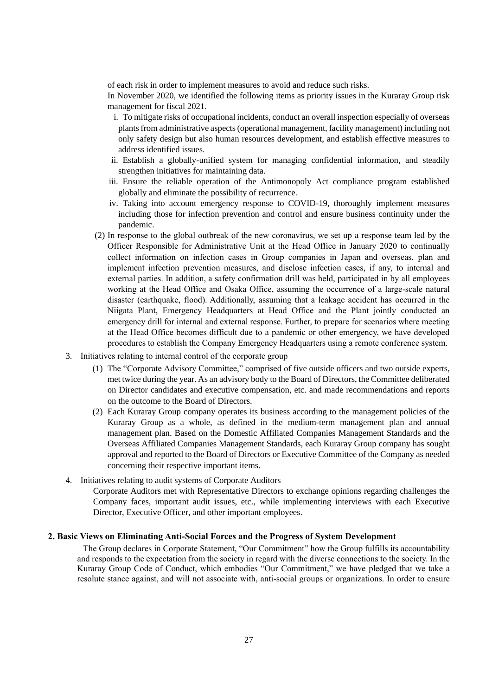of each risk in order to implement measures to avoid and reduce such risks.

In November 2020, we identified the following items as priority issues in the Kuraray Group risk management for fiscal 2021.

- i. To mitigate risks of occupational incidents, conduct an overall inspection especially of overseas plants from administrative aspects (operational management, facility management) including not only safety design but also human resources development, and establish effective measures to address identified issues.
- ii. Establish a globally-unified system for managing confidential information, and steadily strengthen initiatives for maintaining data.
- iii. Ensure the reliable operation of the Antimonopoly Act compliance program established globally and eliminate the possibility of recurrence.
- iv. Taking into account emergency response to COVID-19, thoroughly implement measures including those for infection prevention and control and ensure business continuity under the pandemic.
- (2) In response to the global outbreak of the new coronavirus, we set up a response team led by the Officer Responsible for Administrative Unit at the Head Office in January 2020 to continually collect information on infection cases in Group companies in Japan and overseas, plan and implement infection prevention measures, and disclose infection cases, if any, to internal and external parties. In addition, a safety confirmation drill was held, participated in by all employees working at the Head Office and Osaka Office, assuming the occurrence of a large-scale natural disaster (earthquake, flood). Additionally, assuming that a leakage accident has occurred in the Niigata Plant, Emergency Headquarters at Head Office and the Plant jointly conducted an emergency drill for internal and external response. Further, to prepare for scenarios where meeting at the Head Office becomes difficult due to a pandemic or other emergency, we have developed procedures to establish the Company Emergency Headquarters using a remote conference system.
- 3. Initiatives relating to internal control of the corporate group
	- (1) The "Corporate Advisory Committee," comprised of five outside officers and two outside experts, met twice during the year. As an advisory body to the Board of Directors, the Committee deliberated on Director candidates and executive compensation, etc. and made recommendations and reports on the outcome to the Board of Directors.
	- (2) Each Kuraray Group company operates its business according to the management policies of the Kuraray Group as a whole, as defined in the medium-term management plan and annual management plan. Based on the Domestic Affiliated Companies Management Standards and the Overseas Affiliated Companies Management Standards, each Kuraray Group company has sought approval and reported to the Board of Directors or Executive Committee of the Company as needed concerning their respective important items.
- 4. Initiatives relating to audit systems of Corporate Auditors

Corporate Auditors met with Representative Directors to exchange opinions regarding challenges the Company faces, important audit issues, etc., while implementing interviews with each Executive Director, Executive Officer, and other important employees.

## **2. Basic Views on Eliminating Anti-Social Forces and the Progress of System Development**

The Group declares in Corporate Statement, "Our Commitment" how the Group fulfills its accountability and responds to the expectation from the society in regard with the diverse connections to the society. In the Kuraray Group Code of Conduct, which embodies "Our Commitment," we have pledged that we take a resolute stance against, and will not associate with, anti-social groups or organizations. In order to ensure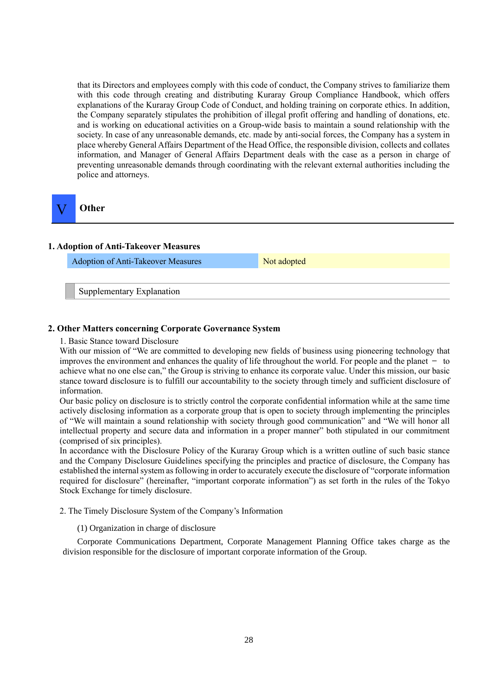that its Directors and employees comply with this code of conduct, the Company strives to familiarize them with this code through creating and distributing Kuraray Group Compliance Handbook, which offers explanations of the Kuraray Group Code of Conduct, and holding training on corporate ethics. In addition, the Company separately stipulates the prohibition of illegal profit offering and handling of donations, etc. and is working on educational activities on a Group-wide basis to maintain a sound relationship with the society. In case of any unreasonable demands, etc. made by anti-social forces, the Company has a system in place whereby General Affairs Department of the Head Office, the responsible division, collects and collates information, and Manager of General Affairs Department deals with the case as a person in charge of preventing unreasonable demands through coordinating with the relevant external authorities including the police and attorneys.



# **Other**

#### **1. Adoption of Anti-Takeover Measures**

Adoption of Anti-Takeover Measures Not adopted

Supplementary Explanation

#### **2. Other Matters concerning Corporate Governance System**

1. Basic Stance toward Disclosure

With our mission of "We are committed to developing new fields of business using pioneering technology that improves the environment and enhances the quality of life throughout the world. For people and the planet  $-$  to achieve what no one else can," the Group is striving to enhance its corporate value. Under this mission, our basic stance toward disclosure is to fulfill our accountability to the society through timely and sufficient disclosure of information.

Our basic policy on disclosure is to strictly control the corporate confidential information while at the same time actively disclosing information as a corporate group that is open to society through implementing the principles of "We will maintain a sound relationship with society through good communication" and "We will honor all intellectual property and secure data and information in a proper manner" both stipulated in our commitment (comprised of six principles).

In accordance with the Disclosure Policy of the Kuraray Group which is a written outline of such basic stance and the Company Disclosure Guidelines specifying the principles and practice of disclosure, the Company has established the internal system as following in order to accurately execute the disclosure of "corporate information required for disclosure" (hereinafter, "important corporate information") as set forth in the rules of the Tokyo Stock Exchange for timely disclosure.

2. The Timely Disclosure System of the Company's Information

(1) Organization in charge of disclosure

Corporate Communications Department, Corporate Management Planning Office takes charge as the division responsible for the disclosure of important corporate information of the Group.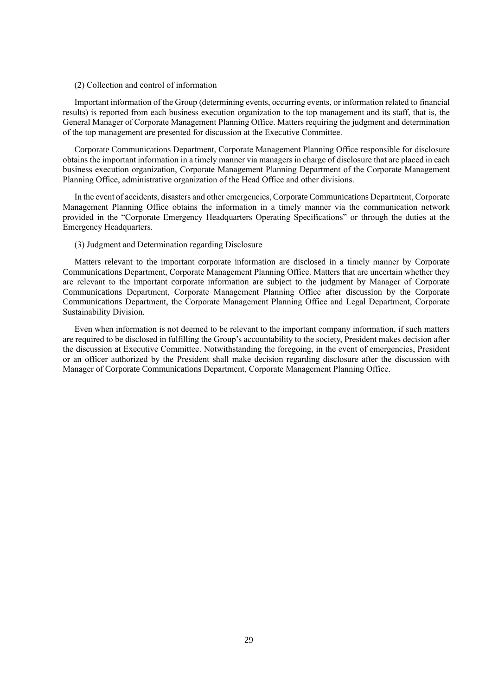#### (2) Collection and control of information

Important information of the Group (determining events, occurring events, or information related to financial results) is reported from each business execution organization to the top management and its staff, that is, the General Manager of Corporate Management Planning Office. Matters requiring the judgment and determination of the top management are presented for discussion at the Executive Committee.

Corporate Communications Department, Corporate Management Planning Office responsible for disclosure obtains the important information in a timely manner via managers in charge of disclosure that are placed in each business execution organization, Corporate Management Planning Department of the Corporate Management Planning Office, administrative organization of the Head Office and other divisions.

In the event of accidents, disasters and other emergencies, Corporate Communications Department, Corporate Management Planning Office obtains the information in a timely manner via the communication network provided in the "Corporate Emergency Headquarters Operating Specifications" or through the duties at the Emergency Headquarters.

#### (3) Judgment and Determination regarding Disclosure

Matters relevant to the important corporate information are disclosed in a timely manner by Corporate Communications Department, Corporate Management Planning Office. Matters that are uncertain whether they are relevant to the important corporate information are subject to the judgment by Manager of Corporate Communications Department, Corporate Management Planning Office after discussion by the Corporate Communications Department, the Corporate Management Planning Office and Legal Department, Corporate Sustainability Division.

Even when information is not deemed to be relevant to the important company information, if such matters are required to be disclosed in fulfilling the Group's accountability to the society, President makes decision after the discussion at Executive Committee. Notwithstanding the foregoing, in the event of emergencies, President or an officer authorized by the President shall make decision regarding disclosure after the discussion with Manager of Corporate Communications Department, Corporate Management Planning Office.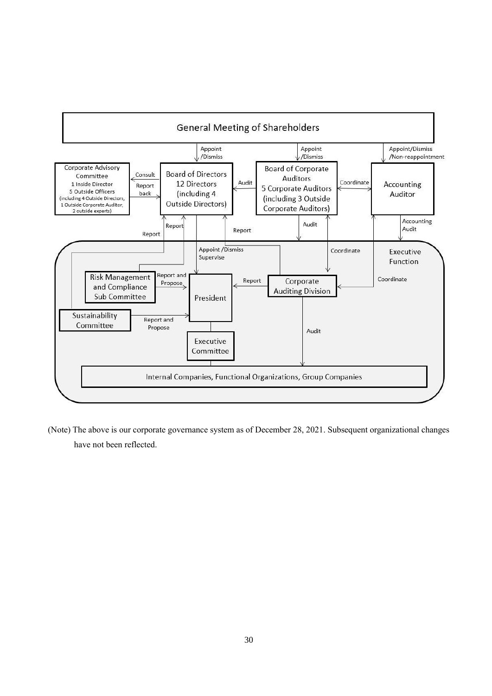

(Note) The above is our corporate governance system as of December 28, 2021. Subsequent organizational changes have not been reflected.